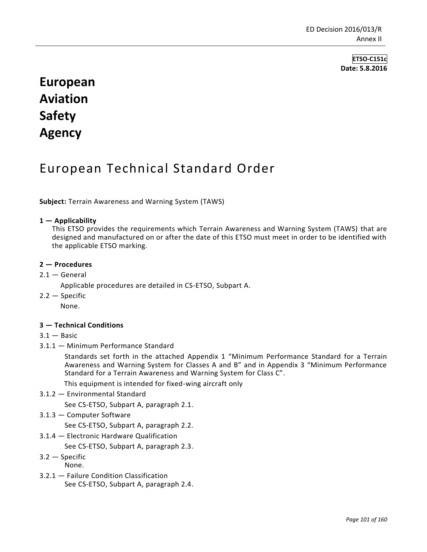**ETSO-C151c Date: 5.8.2016**

# **European Aviation Safety Agency**

# European Technical Standard Order

**Subject:** Terrain Awareness and Warning System (TAWS)

## **1 — Applicability**

This ETSO provides the requirements which Terrain Awareness and Warning System (TAWS) that are designed and manufactured on or after the date of this ETSO must meet in order to be identified with the applicable ETSO marking.

# **2 — Procedures**

- 2.1 General
	- Applicable procedures are detailed in CS-ETSO, Subpart A.
- 2.2 Specific

None.

# **3 — Technical Conditions**

- $3.1 -$ Basic
- 3.1.1 Minimum Performance Standard

Standards set forth in the attached Appendix 1 "Minimum Performance Standard for a Terrain Awareness and Warning System for Classes A and B" and in Appendix 3 "Minimum Performance Standard for a Terrain Awareness and Warning System for Class C".

This equipment is intended for fixed-wing aircraft only

3.1.2 — Environmental Standard

See CS-ETSO, Subpart A, paragraph 2.1.

3.1.3 — Computer Software

See CS-ETSO, Subpart A, paragraph 2.2.

- 3.1.4 Electronic Hardware Qualification
	- See CS-ETSO, Subpart A, paragraph 2.3.
- 3.2 Specific None.
- 3.2.1 Failure Condition Classification See CS-ETSO, Subpart A, paragraph 2.4.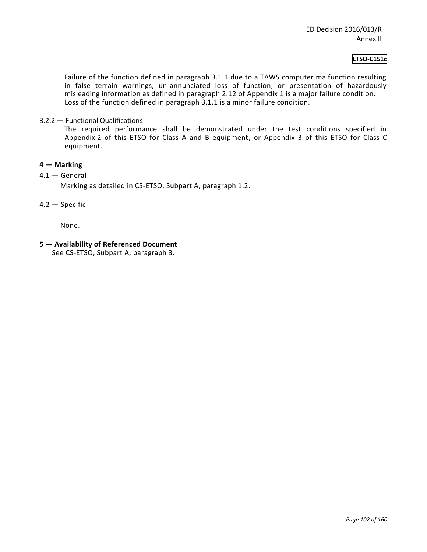# **ETSO-C151c**

Failure of the function defined in paragraph 3.1.1 due to a TAWS computer malfunction resulting in false terrain warnings, un-annunciated loss of function, or presentation of hazardously misleading information as defined in paragraph 2.12 of Appendix 1 is a major failure condition. Loss of the function defined in paragraph 3.1.1 is a minor failure condition.

## 3.2.2 — Functional Qualifications

The required performance shall be demonstrated under the test conditions specified in Appendix 2 of this ETSO for Class A and B equipment, or Appendix 3 of this ETSO for Class C equipment.

#### **4 — Marking**

4.1 — General

Marking as detailed in CS-ETSO, Subpart A, paragraph 1.2.

4.2 — Specific

None.

**5 — Availability of Referenced Document**

See CS-ETSO, Subpart A, paragraph 3.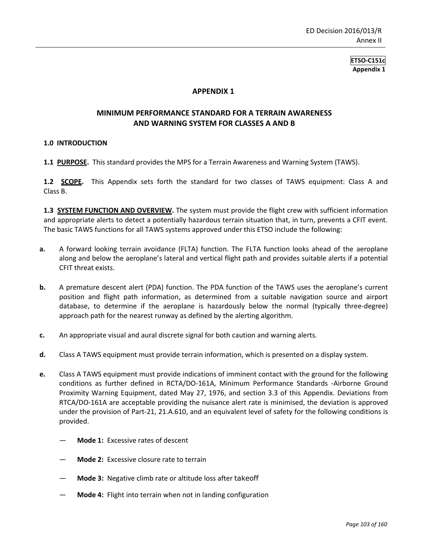# **APPENDIX 1**

# **MINIMUM PERFORMANCE STANDARD FOR A TERRAIN AWARENESS AND WARNING SYSTEM FOR CLASSES A AND B**

#### **1.0 INTRODUCTION**

**1.1 PURPOSE.** This standard provides the MPS for a Terrain Awareness and Warning System (TAWS).

**1.2 SCOPE.** This Appendix sets forth the standard for two classes of TAWS equipment: Class A and Class B.

**1.3 SYSTEM FUNCTION AND OVERVIEW.** The system must provide the flight crew with sufficient information and appropriate alerts to detect a potentially hazardous terrain situation that, in turn, prevents a CFIT event. The basic TAWS functions for all TAWS systems approved under this ETSO include the following:

- **a.** A forward looking terrain avoidance (FLTA) function. The FLTA function looks ahead of the aeroplane along and below the aeroplane's lateral and vertical flight path and provides suitable alerts if a potential CFIT threat exists.
- **b.** A premature descent alert (PDA) function. The PDA function of the TAWS uses the aeroplane's current position and flight path information, as determined from a suitable navigation source and airport database, to determine if the aeroplane is hazardously below the normal (typically three-degree) approach path for the nearest runway as defined by the alerting algorithm.
- **c.** An appropriate visual and aural discrete signal for both caution and warning alerts.
- **d.** Class A TAWS equipment must provide terrain information, which is presented on a display system.
- **e.** Class A TAWS equipment must provide indications of imminent contact with the ground for the following conditions as further defined in RCTA/DO-161A, Minimum Performance Standards *-*Airborne Ground Proximity Warning Equipment, dated May 27, 1976, and section 3.3 of this Appendix. Deviations from RTCA/DO-161A are acceptable providing the nuisance alert rate is minimised, the deviation is approved under the provision of Part-21, 21.A.610, and an equivalent level of safety for the following conditions is provided.
	- Mode 1: Excessive rates of descent
	- **Mode 2:** Excessive closure rate to terrain
	- **Mode 3:** Negative climb rate or altitude loss after takeoff
	- **Mode 4:** Flight into terrain when not in landing configuration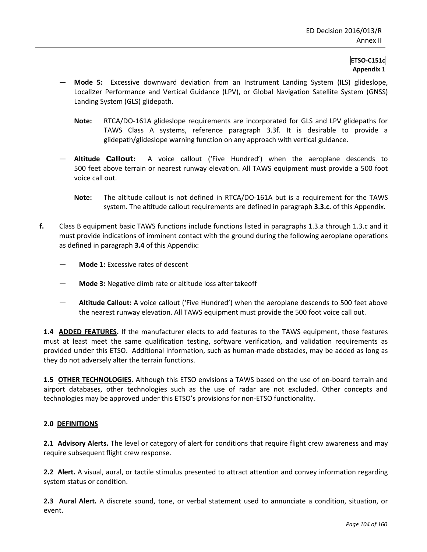- **Mode 5:** Excessive downward deviation from an Instrument Landing System (ILS) glideslope, Localizer Performance and Vertical Guidance (LPV), or Global Navigation Satellite System (GNSS) Landing System (GLS) glidepath.
	- **Note:** RTCA/DO-161A glideslope requirements are incorporated for GLS and LPV glidepaths for TAWS Class A systems, reference paragraph 3.3f. It is desirable to provide a glidepath/glideslope warning function on any approach with vertical guidance.
- **Altitude Callout:** A voice callout ('Five Hundred') when the aeroplane descends to 500 feet above terrain or nearest runway elevation. All TAWS equipment must provide a 500 foot voice call out.
	- **Note:** The altitude callout is not defined in RTCA/DO-161A but is a requirement for the TAWS system. The altitude callout requirements are defined in paragraph **3.3.c.** of this Appendix.
- **f.** Class B equipment basic TAWS functions include functions listed in paragraphs 1.3.a through 1.3.c and it must provide indications of imminent contact with the ground during the following aeroplane operations as defined in paragraph **3.4** of this Appendix:
	- **Mode 1:** Excessive rates of descent
	- **Mode 3:** Negative climb rate or altitude loss after takeoff
	- **Altitude Callout:** A voice callout ('Five Hundred') when the aeroplane descends to 500 feet above the nearest runway elevation. All TAWS equipment must provide the 500 foot voice call out.

**1.4 ADDED FEATURES.** If the manufacturer elects to add features to the TAWS equipment, those features must at least meet the same qualification testing, software verification, and validation requirements as provided under this ETSO. Additional information, such as human-made obstacles, may be added as long as they do not adversely alter the terrain functions.

**1.5 OTHER TECHNOLOGIES.** Although this ETSO envisions a TAWS based on the use of on-board terrain and airport databases, other technologies such as the use of radar are not excluded. Other concepts and technologies may be approved under this ETSO's provisions for non-ETSO functionality.

## **2.0 DEFINITIONS**

**2.1 Advisory Alerts.** The level or category of alert for conditions that require flight crew awareness and may require subsequent flight crew response.

**2.2 Alert.** A visual, aural, or tactile stimulus presented to attract attention and convey information regarding system status or condition.

**2.3 Aural Alert.** A discrete sound, tone, or verbal statement used to annunciate a condition, situation, or event.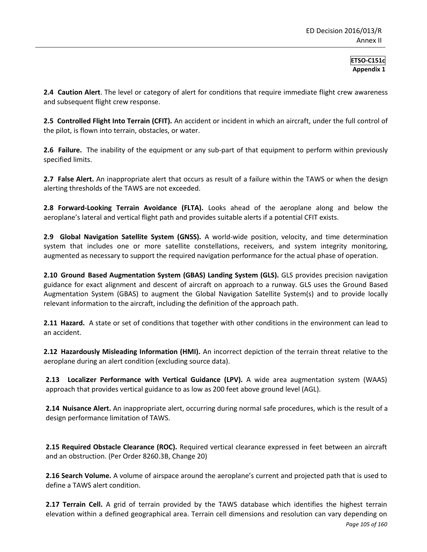**2.4 Caution Alert**. The level or category of alert for conditions that require immediate flight crew awareness and subsequent flight crew response.

**2.5 Controlled Flight Into Terrain (CFIT).** An accident or incident in which an aircraft, under the full control of the pilot, is flown into terrain, obstacles, or water.

**2.6 Failure.** The inability of the equipment or any sub-part of that equipment to perform within previously specified limits.

**2.7 False Alert.** An inappropriate alert that occurs as result of a failure within the TAWS or when the design alerting thresholds of the TAWS are not exceeded.

**2.8 Forward-Looking Terrain Avoidance (FLTA).** Looks ahead of the aeroplane along and below the aeroplane's lateral and vertical flight path and provides suitable alerts if a potential CFIT exists.

**2.9 Global Navigation Satellite System (GNSS).** A world-wide position, velocity, and time determination system that includes one or more satellite constellations, receivers, and system integrity monitoring, augmented as necessary to support the required navigation performance for the actual phase of operation.

**2.10 Ground Based Augmentation System (GBAS) Landing System (GLS).** GLS provides precision navigation guidance for exact alignment and descent of aircraft on approach to a runway. GLS uses the Ground Based Augmentation System (GBAS) to augment the Global Navigation Satellite System(s) and to provide locally relevant information to the aircraft, including the definition of the approach path.

**2.11 Hazard.** A state or set of conditions that together with other conditions in the environment can lead to an accident.

**2.12 Hazardously Misleading Information (HMI).** An incorrect depiction of the terrain threat relative to the aeroplane during an alert condition (excluding source data).

**2.13 Localizer Performance with Vertical Guidance (LPV).** A wide area augmentation system (WAAS) approach that provides vertical guidance to as low as 200 feet above ground level (AGL).

**2.14 Nuisance Alert.** An inappropriate alert, occurring during normal safe procedures, which is the result of a design performance limitation of TAWS.

**2.15 Required Obstacle Clearance (ROC).** Required vertical clearance expressed in feet between an aircraft and an obstruction. (Per Order 8260.3B, Change 20)

**2.16 Search Volume.** A volume of airspace around the aeroplane's current and projected path that is used to define a TAWS alert condition.

**2.17 Terrain Cell.** A grid of terrain provided by the TAWS database which identifies the highest terrain elevation within a defined geographical area. Terrain cell dimensions and resolution can vary depending on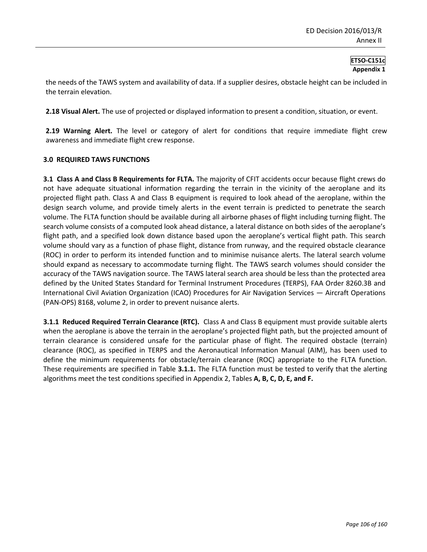the needs of the TAWS system and availability of data. If a supplier desires, obstacle height can be included in the terrain elevation.

**2.18 Visual Alert.** The use of projected or displayed information to present a condition, situation, or event.

**2.19 Warning Alert.** The level or category of alert for conditions that require immediate flight crew awareness and immediate flight crew response.

#### **3.0 REQUIRED TAWS FUNCTIONS**

**3.1 Class A and Class B Requirements for FLTA.** The majority of CFIT accidents occur because flight crews do not have adequate situational information regarding the terrain in the vicinity of the aeroplane and its projected flight path. Class A and Class B equipment is required to look ahead of the aeroplane, within the design search volume, and provide timely alerts in the event terrain is predicted to penetrate the search volume. The FLTA function should be available during all airborne phases of flight including turning flight. The search volume consists of a computed look ahead distance, a lateral distance on both sides of the aeroplane's flight path, and a specified look down distance based upon the aeroplane's vertical flight path. This search volume should vary as a function of phase flight, distance from runway, and the required obstacle clearance (ROC) in order to perform its intended function and to minimise nuisance alerts. The lateral search volume should expand as necessary to accommodate turning flight. The TAWS search volumes should consider the accuracy of the TAWS navigation source. The TAWS lateral search area should be less than the protected area defined by the United States Standard for Terminal Instrument Procedures (TERPS), FAA Order 8260.3B and International Civil Aviation Organization (ICAO) Procedures for Air Navigation Services — Aircraft Operations (PAN-OPS) 8168, volume 2, in order to prevent nuisance alerts.

**3.1.1 Reduced Required Terrain Clearance (RTC).** Class A and Class B equipment must provide suitable alerts when the aeroplane is above the terrain in the aeroplane's projected flight path, but the projected amount of terrain clearance is considered unsafe for the particular phase of flight. The required obstacle (terrain) clearance (ROC), as specified in TERPS and the Aeronautical Information Manual (AIM), has been used to define the minimum requirements for obstacle/terrain clearance (ROC) appropriate to the FLTA function. These requirements are specified in Table **3.1.1.** The FLTA function must be tested to verify that the alerting algorithms meet the test conditions specified in Appendix 2, Tables **A, B, C, D, E, and F.**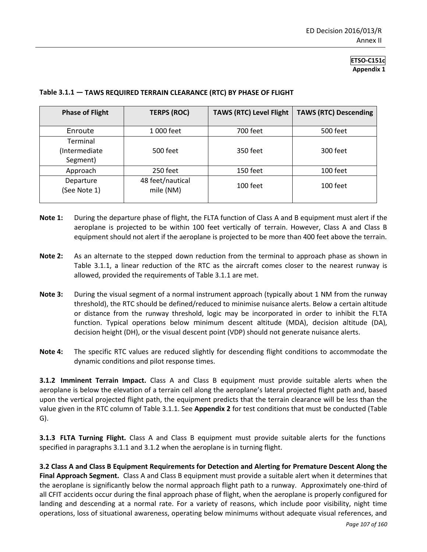| <b>Phase of Flight</b>                | <b>TERPS (ROC)</b>            | <b>TAWS (RTC) Level Flight</b> | <b>TAWS (RTC) Descending</b> |
|---------------------------------------|-------------------------------|--------------------------------|------------------------------|
| Enroute                               | 1 000 feet                    | 700 feet                       | 500 feet                     |
| Terminal<br>(Intermediate<br>Segment) | 500 feet                      | 350 feet                       | 300 feet                     |
| Approach                              | 250 feet                      | 150 feet                       | 100 feet                     |
| Departure<br>(See Note 1)             | 48 feet/nautical<br>mile (NM) | 100 feet                       | $100$ feet                   |

# **Table 3.1.1 — TAWS REQUIRED TERRAIN CLEARANCE (RTC) BY PHASE OF FLIGHT**

- **Note 1:** During the departure phase of flight, the FLTA function of Class A and B equipment must alert if the aeroplane is projected to be within 100 feet vertically of terrain. However, Class A and Class B equipment should not alert if the aeroplane is projected to be more than 400 feet above the terrain.
- **Note 2:** As an alternate to the stepped down reduction from the terminal to approach phase as shown in Table 3.1.1, a linear reduction of the RTC as the aircraft comes closer to the nearest runway is allowed, provided the requirements of Table 3.1.1 are met.
- **Note 3:** During the visual segment of a normal instrument approach (typically about 1 NM from the runway threshold), the RTC should be defined/reduced to minimise nuisance alerts. Below a certain altitude or distance from the runway threshold, logic may be incorporated in order to inhibit the FLTA function. Typical operations below minimum descent altitude (MDA), decision altitude (DA), decision height (DH), or the visual descent point (VDP) should not generate nuisance alerts.
- **Note 4:** The specific RTC values are reduced slightly for descending flight conditions to accommodate the dynamic conditions and pilot response times.

**3.1.2 Imminent Terrain Impact.** Class A and Class B equipment must provide suitable alerts when the aeroplane is below the elevation of a terrain cell along the aeroplane's lateral projected flight path and, based upon the vertical projected flight path, the equipment predicts that the terrain clearance will be less than the value given in the RTC column of Table 3.1.1. See **Appendix 2** for test conditions that must be conducted (Table G).

**3.1.3 FLTA Turning Flight.** Class A and Class B equipment must provide suitable alerts for the functions specified in paragraphs 3.1.1 and 3.1.2 when the aeroplane is in turning flight.

**3.2 Class A and Class B Equipment Requirements for Detection and Alerting for Premature Descent Along the Final Approach Segment.** Class A and Class B equipment must provide a suitable alert when it determines that the aeroplane is significantly below the normal approach flight path to a runway. Approximately one-third of all CFIT accidents occur during the final approach phase of flight, when the aeroplane is properly configured for landing and descending at a normal rate. For a variety of reasons, which include poor visibility, night time operations, loss of situational awareness, operating below minimums without adequate visual references, and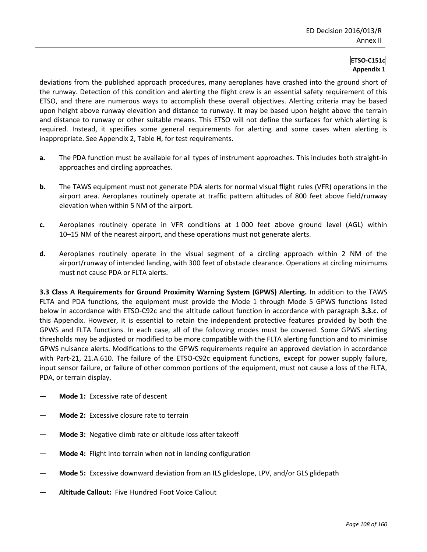deviations from the published approach procedures, many aeroplanes have crashed into the ground short of the runway. Detection of this condition and alerting the flight crew is an essential safety requirement of this ETSO, and there are numerous ways to accomplish these overall objectives. Alerting criteria may be based upon height above runway elevation and distance to runway. It may be based upon height above the terrain and distance to runway or other suitable means. This ETSO will not define the surfaces for which alerting is required. Instead, it specifies some general requirements for alerting and some cases when alerting is inappropriate. See Appendix 2, Table **H**, for test requirements.

- **a.** The PDA function must be available for all types of instrument approaches. This includes both straight-in approaches and circling approaches.
- **b.** The TAWS equipment must not generate PDA alerts for normal visual flight rules (VFR) operations in the airport area. Aeroplanes routinely operate at traffic pattern altitudes of 800 feet above field/runway elevation when within 5 NM of the airport.
- **c.** Aeroplanes routinely operate in VFR conditions at 1 000 feet above ground level (AGL) within 10–15 NM of the nearest airport, and these operations must not generate alerts.
- **d.** Aeroplanes routinely operate in the visual segment of a circling approach within 2 NM of the airport/runway of intended landing, with 300 feet of obstacle clearance. Operations at circling minimums must not cause PDA or FLTA alerts.

**3.3 Class A Requirements for Ground Proximity Warning System (GPWS) Alerting.** In addition to the TAWS FLTA and PDA functions, the equipment must provide the Mode 1 through Mode 5 GPWS functions listed below in accordance with ETSO-C92c and the altitude callout function in accordance with paragraph **3.3.c.** of this Appendix. However, it is essential to retain the independent protective features provided by both the GPWS and FLTA functions. In each case, all of the following modes must be covered. Some GPWS alerting thresholds may be adjusted or modified to be more compatible with the FLTA alerting function and to minimise GPWS nuisance alerts. Modifications to the GPWS requirements require an approved deviation in accordance with Part-21, 21.A.610. The failure of the ETSO-C92c equipment functions, except for power supply failure, input sensor failure, or failure of other common portions of the equipment, must not cause a loss of the FLTA, PDA, or terrain display.

- **Mode 1: Excessive rate of descent**
- **Mode 2:** Excessive closure rate to terrain
- **Mode 3:** Negative climb rate or altitude loss after takeoff
- **Mode 4:** Flight into terrain when not in landing configuration
- **Mode 5:** Excessive downward deviation from an ILS glideslope, LPV, and/or GLS glidepath
- **Altitude Callout:** Five Hundred Foot Voice Callout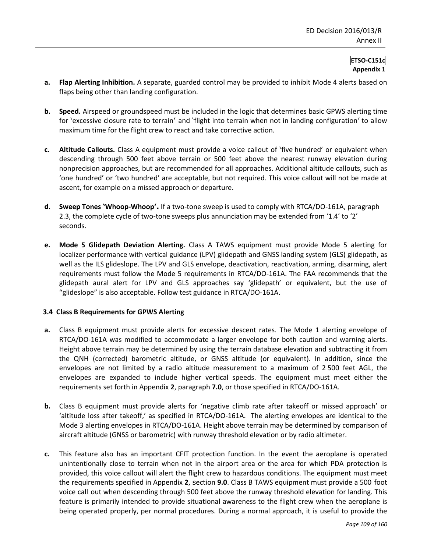- **a. Flap Alerting Inhibition.** A separate, guarded control may be provided to inhibit Mode 4 alerts based on flaps being other than landing configuration.
- **b. Speed.** Airspeed or groundspeed must be included in the logic that determines basic GPWS alerting time for 'excessive closure rate to terrain' and 'flight into terrain when not in landing configuration' to allow maximum time for the flight crew to react and take corrective action.
- **c. Altitude Callouts.** Class A equipment must provide a voice callout of 'five hundred' or equivalent when descending through 500 feet above terrain or 500 feet above the nearest runway elevation during nonprecision approaches, but are recommended for all approaches. Additional altitude callouts, such as 'one hundred' or 'two hundred' are acceptable, but not required. This voice callout will not be made at ascent, for example on a missed approach or departure.
- **d. Sweep Tones 'Whoop-Whoop'.** If a two-tone sweep is used to comply with RTCA/DO-161A, paragraph 2.3, the complete cycle of two-tone sweeps plus annunciation may be extended from '1.4' to '2' seconds.
- **e. Mode 5 Glidepath Deviation Alerting.** Class A TAWS equipment must provide Mode 5 alerting for localizer performance with vertical guidance (LPV) glidepath and GNSS landing system (GLS) glidepath, as well as the ILS glideslope. The LPV and GLS envelope, deactivation, reactivation, arming, disarming, alert requirements must follow the Mode 5 requirements in RTCA/DO-161A. The FAA recommends that the glidepath aural alert for LPV and GLS approaches say 'glidepath' or equivalent, but the use of "glideslope" is also acceptable. Follow test guidance in RTCA/DO-161A.

## **3.4 Class B Requirements for GPWS Alerting**

- **a.** Class B equipment must provide alerts for excessive descent rates. The Mode 1 alerting envelope of RTCA/DO-161A was modified to accommodate a larger envelope for both caution and warning alerts. Height above terrain may be determined by using the terrain database elevation and subtracting it from the QNH (corrected) barometric altitude, or GNSS altitude (or equivalent). In addition, since the envelopes are not limited by a radio altitude measurement to a maximum of 2 500 feet AGL, the envelopes are expanded to include higher vertical speeds. The equipment must meet either the requirements set forth in Appendix **2**, paragraph **7.0**, or those specified in RTCA/DO-161A.
- **b.** Class B equipment must provide alerts for 'negative climb rate after takeoff or missed approach' or 'altitude loss after takeoff,' as specified in RTCA/DO-161A. The alerting envelopes are identical to the Mode 3 alerting envelopes in RTCA/DO-161A. Height above terrain may be determined by comparison of aircraft altitude (GNSS or barometric) with runway threshold elevation or by radio altimeter.
- **c.** This feature also has an important CFIT protection function. In the event the aeroplane is operated unintentionally close to terrain when not in the airport area or the area for which PDA protection is provided, this voice callout will alert the flight crew to hazardous conditions. The equipment must meet the requirements specified in Appendix **2**, section **9.0**. Class B TAWS equipment must provide a 500 foot voice call out when descending through 500 feet above the runway threshold elevation for landing. This feature is primarily intended to provide situational awareness to the flight crew when the aeroplane is being operated properly, per normal procedures. During a normal approach, it is useful to provide the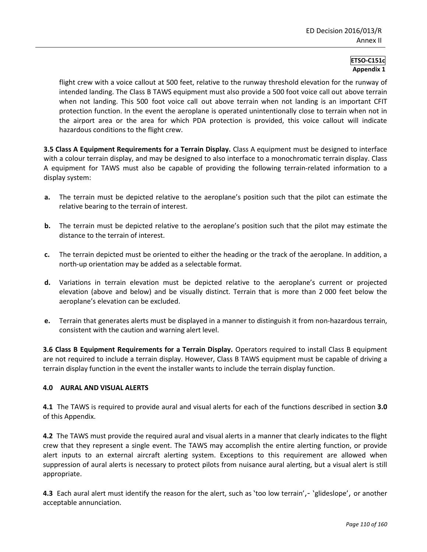flight crew with a voice callout at 500 feet, relative to the runway threshold elevation for the runway of intended landing. The Class B TAWS equipment must also provide a 500 foot voice call out above terrain when not landing. This 500 foot voice call out above terrain when not landing is an important CFIT protection function. In the event the aeroplane is operated unintentionally close to terrain when not in the airport area or the area for which PDA protection is provided, this voice callout will indicate hazardous conditions to the flight crew.

**3.5 Class A Equipment Requirements for a Terrain Display.** Class A equipment must be designed to interface with a colour terrain display, and may be designed to also interface to a monochromatic terrain display. Class A equipment for TAWS must also be capable of providing the following terrain-related information to a display system:

- **a.** The terrain must be depicted relative to the aeroplane's position such that the pilot can estimate the relative bearing to the terrain of interest.
- **b.** The terrain must be depicted relative to the aeroplane's position such that the pilot may estimate the distance to the terrain of interest.
- **c.** The terrain depicted must be oriented to either the heading or the track of the aeroplane. In addition, a north-up orientation may be added as a selectable format.
- **d.** Variations in terrain elevation must be depicted relative to the aeroplane's current or projected elevation (above and below) and be visually distinct. Terrain that is more than 2 000 feet below the aeroplane's elevation can be excluded.
- **e.** Terrain that generates alerts must be displayed in a manner to distinguish it from non-hazardous terrain, consistent with the caution and warning alert level.

**3.6 Class B Equipment Requirements for a Terrain Display.** Operators required to install Class B equipment are not required to include a terrain display. However, Class B TAWS equipment must be capable of driving a terrain display function in the event the installer wants to include the terrain display function.

## **4.0 AURAL AND VISUAL ALERTS**

**4.1** The TAWS is required to provide aural and visual alerts for each of the functions described in section **3.0**  of this Appendix.

**4.2** The TAWS must provide the required aural and visual alerts in a manner that clearly indicates to the flight crew that they represent a single event. The TAWS may accomplish the entire alerting function, or provide alert inputs to an external aircraft alerting system. Exceptions to this requirement are allowed when suppression of aural alerts is necessary to protect pilots from nuisance aural alerting, but a visual alert is still appropriate.

**4.3** Each aural alert must identify the reason for the alert, such as 'too low terrain',- 'glideslope', or another acceptable annunciation.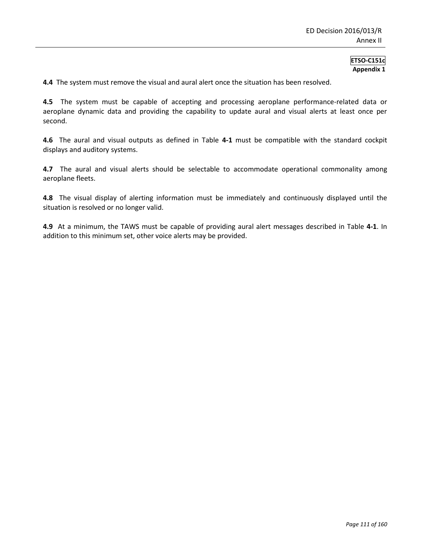**4.4** The system must remove the visual and aural alert once the situation has been resolved.

**4.5** The system must be capable of accepting and processing aeroplane performance-related data or aeroplane dynamic data and providing the capability to update aural and visual alerts at least once per second.

**4.6** The aural and visual outputs as defined in Table **4-1** must be compatible with the standard cockpit displays and auditory systems.

**4.7** The aural and visual alerts should be selectable to accommodate operational commonality among aeroplane fleets.

**4.8** The visual display of alerting information must be immediately and continuously displayed until the situation is resolved or no longer valid.

**4.9** At a minimum, the TAWS must be capable of providing aural alert messages described in Table **4-1**. In addition to this minimum set, other voice alerts may be provided.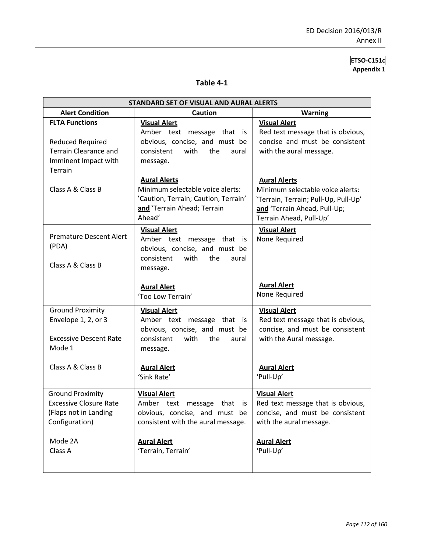# **Table 4-1**

| STANDARD SET OF VISUAL AND AURAL ALERTS |                                      |                                      |  |  |
|-----------------------------------------|--------------------------------------|--------------------------------------|--|--|
| <b>Alert Condition</b>                  | <b>Warning</b>                       |                                      |  |  |
| <b>FLTA Functions</b>                   | <b>Visual Alert</b>                  | <b>Visual Alert</b>                  |  |  |
|                                         | Amber text message that is           | Red text message that is obvious,    |  |  |
| <b>Reduced Required</b>                 | obvious, concise, and must be        | concise and must be consistent       |  |  |
| <b>Terrain Clearance and</b>            | the<br>consistent<br>with<br>aural   | with the aural message.              |  |  |
| Imminent Impact with                    | message.                             |                                      |  |  |
| Terrain                                 |                                      |                                      |  |  |
|                                         | <b>Aural Alerts</b>                  | <b>Aural Alerts</b>                  |  |  |
| Class A & Class B                       | Minimum selectable voice alerts:     | Minimum selectable voice alerts:     |  |  |
|                                         | 'Caution, Terrain; Caution, Terrain' | 'Terrain, Terrain; Pull-Up, Pull-Up' |  |  |
|                                         | and 'Terrain Ahead; Terrain          | and 'Terrain Ahead, Pull-Up;         |  |  |
|                                         | Ahead'                               | Terrain Ahead, Pull-Up'              |  |  |
|                                         | <b>Visual Alert</b>                  | <b>Visual Alert</b>                  |  |  |
| <b>Premature Descent Alert</b>          | Amber text message that is           | None Required                        |  |  |
| (PDA)                                   | obvious, concise, and must be        |                                      |  |  |
|                                         | with<br>the<br>consistent<br>aural   |                                      |  |  |
| Class A & Class B                       | message.                             |                                      |  |  |
|                                         |                                      |                                      |  |  |
|                                         | <b>Aural Alert</b>                   | <b>Aural Alert</b>                   |  |  |
|                                         | 'Too Low Terrain'                    | None Required                        |  |  |
| <b>Ground Proximity</b>                 | <b>Visual Alert</b>                  | <b>Visual Alert</b>                  |  |  |
| Envelope 1, 2, or 3                     | Amber text message that is           | Red text message that is obvious,    |  |  |
|                                         | obvious, concise, and must be        | concise, and must be consistent      |  |  |
| <b>Excessive Descent Rate</b>           | with<br>the<br>consistent<br>aural   | with the Aural message.              |  |  |
| Mode 1                                  | message.                             |                                      |  |  |
|                                         |                                      |                                      |  |  |
| Class A & Class B                       | <b>Aural Alert</b>                   | <b>Aural Alert</b>                   |  |  |
|                                         | 'Sink Rate'                          | 'Pull-Up'                            |  |  |
| <b>Ground Proximity</b>                 | <b>Visual Alert</b>                  | <b>Visual Alert</b>                  |  |  |
| <b>Excessive Closure Rate</b>           | Amber text<br>message<br>that<br>is. | Red text message that is obvious,    |  |  |
| (Flaps not in Landing                   | obvious, concise, and must be        | concise, and must be consistent      |  |  |
| Configuration)                          | consistent with the aural message.   | with the aural message.              |  |  |
|                                         |                                      |                                      |  |  |
| Mode 2A                                 | <b>Aural Alert</b>                   | <b>Aural Alert</b>                   |  |  |
| Class A                                 | 'Terrain, Terrain'                   | 'Pull-Up'                            |  |  |
|                                         |                                      |                                      |  |  |
|                                         |                                      |                                      |  |  |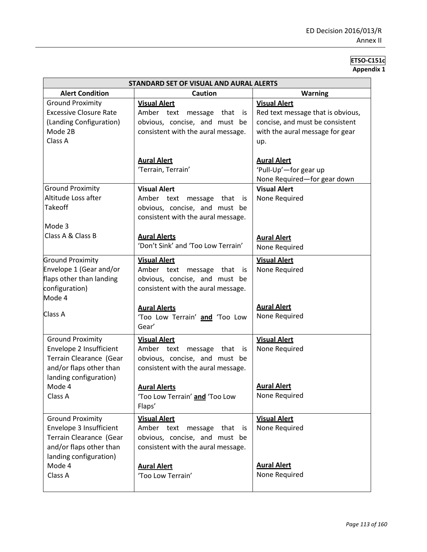| STANDARD SET OF VISUAL AND AURAL ALERTS                                                                                            |                                                                                                                                   |                                                                                                                                       |  |  |
|------------------------------------------------------------------------------------------------------------------------------------|-----------------------------------------------------------------------------------------------------------------------------------|---------------------------------------------------------------------------------------------------------------------------------------|--|--|
| <b>Alert Condition</b>                                                                                                             | <b>Warning</b>                                                                                                                    |                                                                                                                                       |  |  |
| <b>Ground Proximity</b><br><b>Excessive Closure Rate</b><br>(Landing Configuration)<br>Mode 2B<br>Class A                          | <b>Visual Alert</b><br>Amber text<br>message<br>that<br>is<br>obvious, concise, and must be<br>consistent with the aural message. | <b>Visual Alert</b><br>Red text message that is obvious,<br>concise, and must be consistent<br>with the aural message for gear<br>up. |  |  |
|                                                                                                                                    | <b>Aural Alert</b><br>'Terrain, Terrain'                                                                                          | <b>Aural Alert</b><br>'Pull-Up'-for gear up<br>None Required-for gear down                                                            |  |  |
| <b>Ground Proximity</b><br>Altitude Loss after<br><b>Takeoff</b><br>Mode 3                                                         | <b>Visual Alert</b><br>Amber text message that<br>is is<br>obvious, concise, and must be<br>consistent with the aural message.    | <b>Visual Alert</b><br>None Required                                                                                                  |  |  |
| Class A & Class B                                                                                                                  | <b>Aural Alerts</b><br>'Don't Sink' and 'Too Low Terrain'                                                                         | <b>Aural Alert</b><br>None Required                                                                                                   |  |  |
| <b>Ground Proximity</b><br>Envelope 1 (Gear and/or<br>flaps other than landing<br>configuration)<br>Mode 4                         | <b>Visual Alert</b><br>Amber text message that<br>is is<br>obvious, concise, and must be<br>consistent with the aural message.    | <b>Visual Alert</b><br>None Required                                                                                                  |  |  |
| Class A                                                                                                                            | <b>Aural Alerts</b><br>'Too Low Terrain' and 'Too Low<br>Gear'                                                                    | <b>Aural Alert</b><br>None Required                                                                                                   |  |  |
| <b>Ground Proximity</b><br>Envelope 2 Insufficient<br>Terrain Clearance (Gear<br>and/or flaps other than<br>landing configuration) | <b>Visual Alert</b><br>Amber text message that<br>is is<br>obvious, concise, and must be<br>consistent with the aural message.    | <b>Visual Alert</b><br>None Required                                                                                                  |  |  |
| Mode 4<br>Class A                                                                                                                  | <b>Aural Alerts</b><br>'Too Low Terrain' and 'Too Low<br>Flaps'                                                                   | <b>Aural Alert</b><br>None Required                                                                                                   |  |  |
| <b>Ground Proximity</b><br>Envelope 3 Insufficient<br>Terrain Clearance (Gear<br>and/or flaps other than<br>landing configuration) | <b>Visual Alert</b><br>Amber text<br>message that<br>is is<br>obvious, concise, and must be<br>consistent with the aural message. | <b>Visual Alert</b><br>None Required                                                                                                  |  |  |
| Mode 4<br>Class A                                                                                                                  | <b>Aural Alert</b><br>'Too Low Terrain'                                                                                           | <b>Aural Alert</b><br>None Required                                                                                                   |  |  |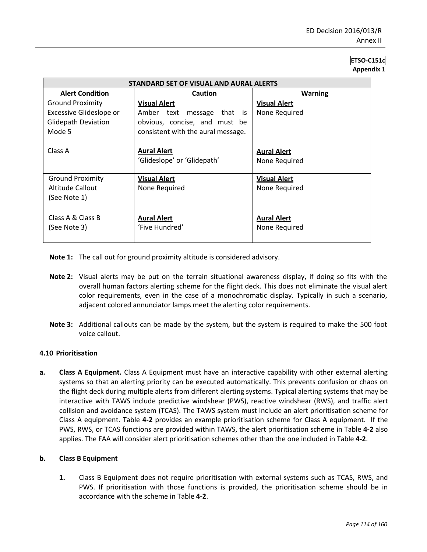| STANDARD SET OF VISUAL AND AURAL ALERTS |                                    |                     |  |  |
|-----------------------------------------|------------------------------------|---------------------|--|--|
| <b>Alert Condition</b>                  | <b>Caution</b>                     | <b>Warning</b>      |  |  |
| <b>Ground Proximity</b>                 | <b>Visual Alert</b>                | <b>Visual Alert</b> |  |  |
| Excessive Glideslope or                 | Amber text<br>that is<br>message   | None Required       |  |  |
| <b>Glidepath Deviation</b>              | obvious, concise, and must be      |                     |  |  |
| Mode 5                                  | consistent with the aural message. |                     |  |  |
|                                         |                                    |                     |  |  |
| Class A                                 | <b>Aural Alert</b>                 | <b>Aural Alert</b>  |  |  |
|                                         | 'Glideslope' or 'Glidepath'        | None Required       |  |  |
|                                         |                                    |                     |  |  |
| <b>Ground Proximity</b>                 | <b>Visual Alert</b>                | <b>Visual Alert</b> |  |  |
| Altitude Callout                        | None Required                      | None Required       |  |  |
| (See Note 1)                            |                                    |                     |  |  |
|                                         |                                    |                     |  |  |
| Class A & Class B                       | <b>Aural Alert</b>                 | <b>Aural Alert</b>  |  |  |
| (See Note 3)                            | 'Five Hundred'                     | None Required       |  |  |
|                                         |                                    |                     |  |  |

**Note 1:** The call out for ground proximity altitude is considered advisory.

- **Note 2:** Visual alerts may be put on the terrain situational awareness display, if doing so fits with the overall human factors alerting scheme for the flight deck. This does not eliminate the visual alert color requirements, even in the case of a monochromatic display. Typically in such a scenario, adjacent colored annunciator lamps meet the alerting color requirements.
- **Note 3:** Additional callouts can be made by the system, but the system is required to make the 500 foot voice callout.

## **4.10 Prioritisation**

**a. Class A Equipment.** Class A Equipment must have an interactive capability with other external alerting systems so that an alerting priority can be executed automatically. This prevents confusion or chaos on the flight deck during multiple alerts from different alerting systems. Typical alerting systems that may be interactive with TAWS include predictive windshear (PWS), reactive windshear (RWS), and traffic alert collision and avoidance system (TCAS). The TAWS system must include an alert prioritisation scheme for Class A equipment. Table **4-2** provides an example prioritisation scheme for Class A equipment. If the PWS, RWS, or TCAS functions are provided within TAWS, the alert prioritisation scheme in Table **4-2** also applies. The FAA will consider alert prioritisation schemes other than the one included in Table **4-2**.

## **b. Class B Equipment**

**1.** Class B Equipment does not require prioritisation with external systems such as TCAS, RWS, and PWS. If prioritisation with those functions is provided, the prioritisation scheme should be in accordance with the scheme in Table **4-2**.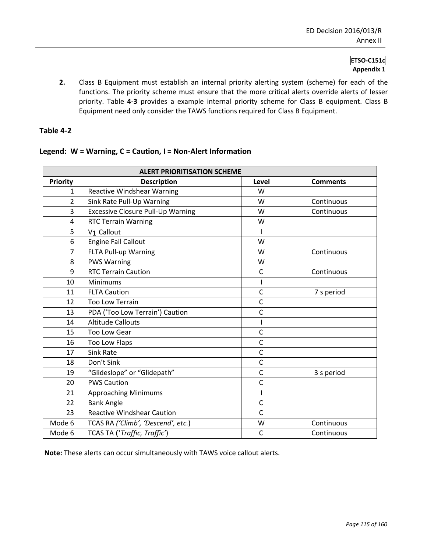**2.** Class B Equipment must establish an internal priority alerting system (scheme) for each of the functions. The priority scheme must ensure that the more critical alerts override alerts of lesser priority. Table **4-3** provides a example internal priority scheme for Class B equipment. Class B Equipment need only consider the TAWS functions required for Class B Equipment.

# **Table 4-2**

# **Legend: W = Warning, C = Caution, I = Non-Alert Information**

| <b>ALERT PRIORITISATION SCHEME</b> |                                                            |              |            |  |  |
|------------------------------------|------------------------------------------------------------|--------------|------------|--|--|
| <b>Priority</b>                    | <b>Description</b><br>Level<br><b>Comments</b>             |              |            |  |  |
| $\mathbf{1}$                       | <b>Reactive Windshear Warning</b>                          | W            |            |  |  |
| $\overline{2}$                     | Sink Rate Pull-Up Warning                                  | W            | Continuous |  |  |
| 3                                  | <b>Excessive Closure Pull-Up Warning</b>                   | W            | Continuous |  |  |
| 4                                  | <b>RTC Terrain Warning</b>                                 | W            |            |  |  |
| 5                                  | V <sub>1</sub> Callout                                     |              |            |  |  |
| 6                                  | <b>Engine Fail Callout</b>                                 | W            |            |  |  |
| $\overline{7}$                     | FLTA Pull-up Warning                                       | W            | Continuous |  |  |
| 8                                  | <b>PWS Warning</b>                                         | W            |            |  |  |
| 9                                  | <b>RTC Terrain Caution</b>                                 | $\mathsf{C}$ | Continuous |  |  |
| 10                                 | Minimums                                                   |              |            |  |  |
| 11                                 | <b>FLTA Caution</b>                                        | $\mathsf{C}$ | 7 s period |  |  |
| 12                                 | Too Low Terrain                                            | $\mathsf{C}$ |            |  |  |
| 13                                 | PDA ('Too Low Terrain') Caution                            | $\mathsf{C}$ |            |  |  |
| 14                                 | <b>Altitude Callouts</b>                                   |              |            |  |  |
| 15                                 | Too Low Gear<br>$\mathsf{C}$                               |              |            |  |  |
| 16                                 | $\mathsf{C}$<br>Too Low Flaps                              |              |            |  |  |
| 17                                 | <b>Sink Rate</b>                                           | $\mathsf{C}$ |            |  |  |
| 18                                 | Don't Sink                                                 | $\mathsf C$  |            |  |  |
| 19                                 | "Glideslope" or "Glidepath"                                | $\mathsf{C}$ | 3 s period |  |  |
| 20                                 | <b>PWS Caution</b>                                         | $\mathsf{C}$ |            |  |  |
| 21                                 | <b>Approaching Minimums</b><br>I                           |              |            |  |  |
| 22                                 | $\mathsf{C}$<br><b>Bank Angle</b>                          |              |            |  |  |
| 23                                 | <b>Reactive Windshear Caution</b><br>$\mathsf{C}$          |              |            |  |  |
| Mode 6                             | TCAS RA ('Climb', 'Descend', etc.)<br>Continuous<br>W      |              |            |  |  |
| Mode 6                             | TCAS TA ('Traffic, Traffic')<br>$\mathsf{C}$<br>Continuous |              |            |  |  |

**Note:** These alerts can occur simultaneously with TAWS voice callout alerts.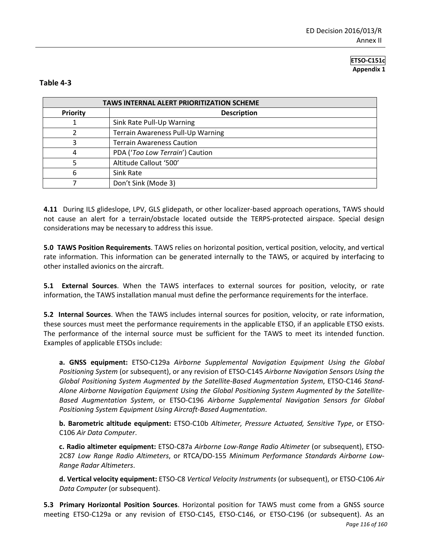## **Table 4-3**

| <b>TAWS INTERNAL ALERT PRIORITIZATION SCHEME</b> |                                   |  |  |
|--------------------------------------------------|-----------------------------------|--|--|
| Priority                                         | <b>Description</b>                |  |  |
|                                                  | Sink Rate Pull-Up Warning         |  |  |
|                                                  | Terrain Awareness Pull-Up Warning |  |  |
| 3                                                | <b>Terrain Awareness Caution</b>  |  |  |
| 4                                                | PDA ('Too Low Terrain') Caution   |  |  |
|                                                  | Altitude Callout '500'            |  |  |
| 6                                                | Sink Rate                         |  |  |
|                                                  | Don't Sink (Mode 3)               |  |  |

**4.11** During ILS glideslope, LPV, GLS glidepath, or other localizer-based approach operations, TAWS should not cause an alert for a terrain/obstacle located outside the TERPS-protected airspace. Special design considerations may be necessary to address this issue.

**5.0 TAWS Position Requirements**. TAWS relies on horizontal position, vertical position, velocity, and vertical rate information. This information can be generated internally to the TAWS, or acquired by interfacing to other installed avionics on the aircraft.

**5.1 External Sources**. When the TAWS interfaces to external sources for position, velocity, or rate information, the TAWS installation manual must define the performance requirements for the interface.

**5.2 Internal Sources**. When the TAWS includes internal sources for position, velocity, or rate information, these sources must meet the performance requirements in the applicable ETSO, if an applicable ETSO exists. The performance of the internal source must be sufficient for the TAWS to meet its intended function. Examples of applicable ETSOs include:

**a. GNSS equipment:** ETSO-C129a *Airborne Supplemental Navigation Equipment Using the Global Positioning System* (or subsequent), or any revision of ETSO-C145 *Airborne Navigation Sensors Using the Global Positioning System Augmented by the Satellite-Based Augmentation System*, ETSO-C146 *Stand-Alone Airborne Navigation Equipment Using the Global Positioning System Augmented by the Satellite-Based Augmentation System*, or ETSO-C196 *Airborne Supplemental Navigation Sensors for Global Positioning System Equipment Using Aircraft-Based Augmentation*.

**b. Barometric altitude equipment:** ETSO-C10b *Altimeter, Pressure Actuated, Sensitive Type*, or ETSO-C106 *Air Data Computer*.

**c. Radio altimeter equipment:** ETSO-C87a *Airborne Low-Range Radio Altimeter* (or subsequent), ETSO-2C87 *Low Range Radio Altimeters*, or RTCA/DO-155 *Minimum Performance Standards Airborne Low-Range Radar Altimeters*.

**d. Vertical velocity equipment:** ETSO-C8 *Vertical Velocity Instruments* (or subsequent), or ETSO-C106 *Air Data Computer* (or subsequent).

*Page 116 of 160* **5.3 Primary Horizontal Position Sources**. Horizontal position for TAWS must come from a GNSS source meeting ETSO-C129a or any revision of ETSO-C145, ETSO-C146, or ETSO-C196 (or subsequent). As an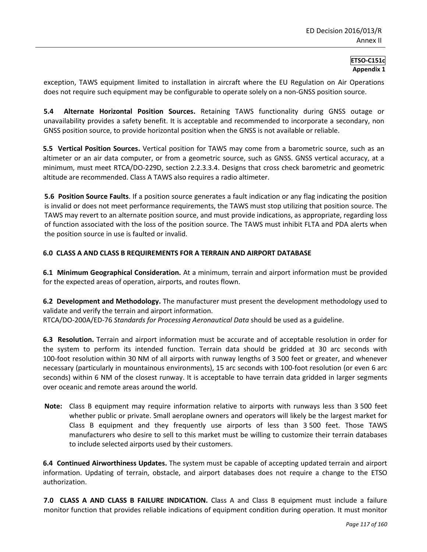exception, TAWS equipment limited to installation in aircraft where the EU Regulation on Air Operations does not require such equipment may be configurable to operate solely on a non-GNSS position source.

**5.4 Alternate Horizontal Position Sources.** Retaining TAWS functionality during GNSS outage or unavailability provides a safety benefit. It is acceptable and recommended to incorporate a secondary, non GNSS position source, to provide horizontal position when the GNSS is not available or reliable.

**5.5 Vertical Position Sources.** Vertical position for TAWS may come from a barometric source, such as an altimeter or an air data computer, or from a geometric source, such as GNSS. GNSS vertical accuracy, at a minimum, must meet RTCA/DO-229D, section 2.2.3.3.4. Designs that cross check barometric and geometric altitude are recommended. Class A TAWS also requires a radio altimeter.

**5.6 Position Source Faults**. If a position source generates a fault indication or any flag indicating the position is invalid or does not meet performance requirements, the TAWS must stop utilizing that position source. The TAWS may revert to an alternate position source, and must provide indications, as appropriate, regarding loss of function associated with the loss of the position source. The TAWS must inhibit FLTA and PDA alerts when the position source in use is faulted or invalid.

## **6.0 CLASS A AND CLASS B REQUIREMENTS FOR A TERRAIN AND AIRPORT DATABASE**

**6.1 Minimum Geographical Consideration.** At a minimum, terrain and airport information must be provided for the expected areas of operation, airports, and routes flown.

**6.2 Development and Methodology.** The manufacturer must present the development methodology used to validate and verify the terrain and airport information.

RTCA/DO-200A/ED-76 *Standards for Processing Aeronautical Data* should be used as a guideline.

**6.3 Resolution.** Terrain and airport information must be accurate and of acceptable resolution in order for the system to perform its intended function. Terrain data should be gridded at 30 arc seconds with 100-foot resolution within 30 NM of all airports with runway lengths of 3 500 feet or greater, and whenever necessary (particularly in mountainous environments), 15 arc seconds with 100-foot resolution (or even 6 arc seconds) within 6 NM of the closest runway. It is acceptable to have terrain data gridded in larger segments over oceanic and remote areas around the world.

**Note:** Class B equipment may require information relative to airports with runways less than 3 500 feet whether public or private. Small aeroplane owners and operators will likely be the largest market for Class B equipment and they frequently use airports of less than 3 500 feet. Those TAWS manufacturers who desire to sell to this market must be willing to customize their terrain databases to include selected airports used by their customers.

**6.4 Continued Airworthiness Updates.** The system must be capable of accepting updated terrain and airport information. Updating of terrain, obstacle, and airport databases does not require a change to the ETSO authorization.

**7.0 CLASS A AND CLASS B FAILURE INDICATION.** Class A and Class B equipment must include a failure monitor function that provides reliable indications of equipment condition during operation. It must monitor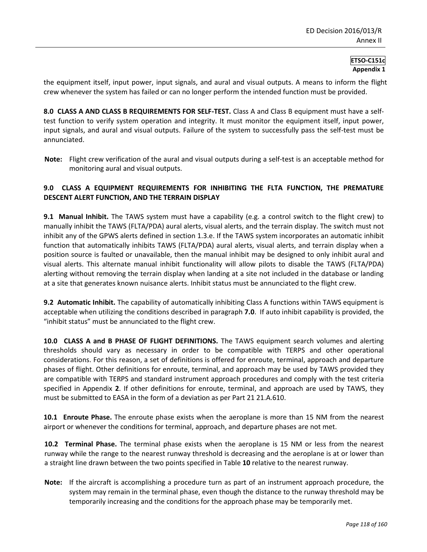the equipment itself, input power, input signals, and aural and visual outputs. A means to inform the flight crew whenever the system has failed or can no longer perform the intended function must be provided.

**8.0 CLASS A AND CLASS B REQUIREMENTS FOR SELF-TEST.** Class A and Class B equipment must have a selftest function to verify system operation and integrity. It must monitor the equipment itself, input power, input signals, and aural and visual outputs. Failure of the system to successfully pass the self-test must be annunciated.

**Note:** Flight crew verification of the aural and visual outputs during a self-test is an acceptable method for monitoring aural and visual outputs.

# **9.0 CLASS A EQUIPMENT REQUIREMENTS FOR INHIBITING THE FLTA FUNCTION, THE PREMATURE DESCENT ALERT FUNCTION, AND THE TERRAIN DISPLAY**

**9.1 Manual Inhibit.** The TAWS system must have a capability (e.g. a control switch to the flight crew) to manually inhibit the TAWS (FLTA/PDA) aural alerts, visual alerts, and the terrain display. The switch must not inhibit any of the GPWS alerts defined in section 1.3.e. If the TAWS system incorporates an automatic inhibit function that automatically inhibits TAWS (FLTA/PDA) aural alerts, visual alerts, and terrain display when a position source is faulted or unavailable, then the manual inhibit may be designed to only inhibit aural and visual alerts. This alternate manual inhibit functionality will allow pilots to disable the TAWS (FLTA/PDA) alerting without removing the terrain display when landing at a site not included in the database or landing at a site that generates known nuisance alerts. Inhibit status must be annunciated to the flight crew.

**9.2 Automatic Inhibit.** The capability of automatically inhibiting Class A functions within TAWS equipment is acceptable when utilizing the conditions described in paragraph **7.0**. If auto inhibit capability is provided, the "inhibit status" must be annunciated to the flight crew.

**10.0 CLASS A and B PHASE OF FLIGHT DEFINITIONS.** The TAWS equipment search volumes and alerting thresholds should vary as necessary in order to be compatible with TERPS and other operational considerations. For this reason, a set of definitions is offered for enroute, terminal, approach and departure phases of flight. Other definitions for enroute, terminal, and approach may be used by TAWS provided they are compatible with TERPS and standard instrument approach procedures and comply with the test criteria specified in Appendix **2**. If other definitions for enroute, terminal, and approach are used by TAWS, they must be submitted to EASA in the form of a deviation as per Part 21 21.A.610.

**10.1 Enroute Phase.** The enroute phase exists when the aeroplane is more than 15 NM from the nearest airport or whenever the conditions for terminal, approach, and departure phases are not met.

**10.2 Terminal Phase.** The terminal phase exists when the aeroplane is 15 NM or less from the nearest runway while the range to the nearest runway threshold is decreasing and the aeroplane is at or lower than a straight line drawn between the two points specified in Table **10** relative to the nearest runway.

**Note:** If the aircraft is accomplishing a procedure turn as part of an instrument approach procedure, the system may remain in the terminal phase, even though the distance to the runway threshold may be temporarily increasing and the conditions for the approach phase may be temporarily met.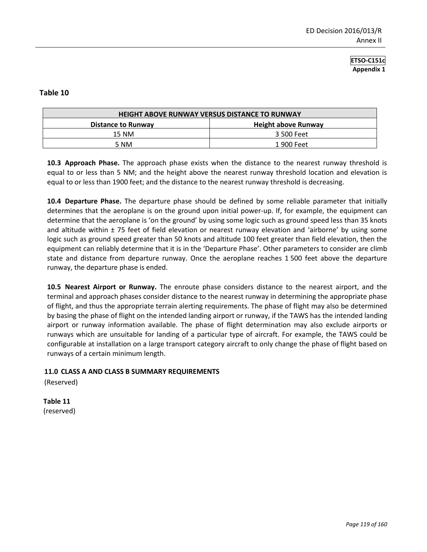#### **Table 10**

| <b>HEIGHT ABOVE RUNWAY VERSUS DISTANCE TO RUNWAY</b> |            |  |  |
|------------------------------------------------------|------------|--|--|
| Height above Runway<br><b>Distance to Runway</b>     |            |  |  |
| 15 NM                                                | 3 500 Feet |  |  |
| 5 NM                                                 | 1 900 Feet |  |  |

**10.3 Approach Phase.** The approach phase exists when the distance to the nearest runway threshold is equal to or less than 5 NM; and the height above the nearest runway threshold location and elevation is equal to or less than 1900 feet; and the distance to the nearest runway threshold is decreasing.

**10.4 Departure Phase.** The departure phase should be defined by some reliable parameter that initially determines that the aeroplane is on the ground upon initial power-up. If, for example, the equipment can determine that the aeroplane is 'on the ground' by using some logic such as ground speed less than 35 knots and altitude within ± 75 feet of field elevation or nearest runway elevation and 'airborne' by using some logic such as ground speed greater than 50 knots and altitude 100 feet greater than field elevation, then the equipment can reliably determine that it is in the 'Departure Phase'. Other parameters to consider are climb state and distance from departure runway. Once the aeroplane reaches 1 500 feet above the departure runway, the departure phase is ended.

**10.5 Nearest Airport or Runway.** The enroute phase considers distance to the nearest airport, and the terminal and approach phases consider distance to the nearest runway in determining the appropriate phase of flight, and thus the appropriate terrain alerting requirements. The phase of flight may also be determined by basing the phase of flight on the intended landing airport or runway, if the TAWS has the intended landing airport or runway information available. The phase of flight determination may also exclude airports or runways which are unsuitable for landing of a particular type of aircraft. For example, the TAWS could be configurable at installation on a large transport category aircraft to only change the phase of flight based on runways of a certain minimum length.

## **11.0 CLASS A AND CLASS B SUMMARY REQUIREMENTS**

(Reserved)

**Table 11**  (reserved)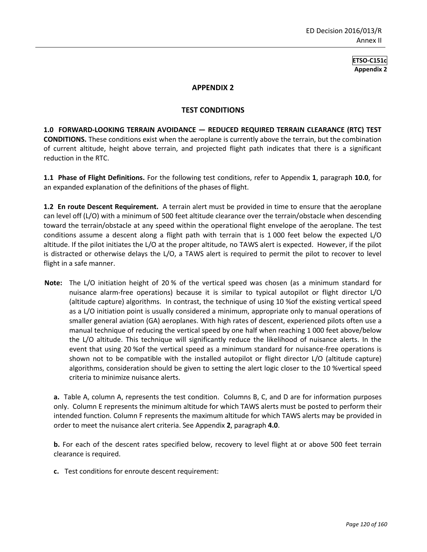#### **APPENDIX 2**

#### **TEST CONDITIONS**

**1.0 FORWARD-LOOKING TERRAIN AVOIDANCE — REDUCED REQUIRED TERRAIN CLEARANCE (RTC) TEST CONDITIONS.** These conditions exist when the aeroplane is currently above the terrain, but the combination of current altitude, height above terrain, and projected flight path indicates that there is a significant reduction in the RTC.

**1.1 Phase of Flight Definitions.** For the following test conditions, refer to Appendix **1**, paragraph **10.0**, for an expanded explanation of the definitions of the phases of flight.

**1.2 En route Descent Requirement.** A terrain alert must be provided in time to ensure that the aeroplane can level off (L/O) with a minimum of 500 feet altitude clearance over the terrain/obstacle when descending toward the terrain/obstacle at any speed within the operational flight envelope of the aeroplane. The test conditions assume a descent along a flight path with terrain that is 1 000 feet below the expected L/O altitude. If the pilot initiates the L/O at the proper altitude, no TAWS alert is expected. However, if the pilot is distracted or otherwise delays the L/O, a TAWS alert is required to permit the pilot to recover to level flight in a safe manner.

**Note:** The L/O initiation height of 20 % of the vertical speed was chosen (as a minimum standard for nuisance alarm-free operations) because it is similar to typical autopilot or flight director L/O (altitude capture) algorithms. In contrast, the technique of using 10 %of the existing vertical speed as a L/O initiation point is usually considered a minimum, appropriate only to manual operations of smaller general aviation (GA) aeroplanes. With high rates of descent, experienced pilots often use a manual technique of reducing the vertical speed by one half when reaching 1 000 feet above/below the L/O altitude. This technique will significantly reduce the likelihood of nuisance alerts. In the event that using 20 %of the vertical speed as a minimum standard for nuisance-free operations is shown not to be compatible with the installed autopilot or flight director L/O (altitude capture) algorithms, consideration should be given to setting the alert logic closer to the 10 %vertical speed criteria to minimize nuisance alerts.

**a.** Table A, column A, represents the test condition. Columns B, C, and D are for information purposes only. Column E represents the minimum altitude for which TAWS alerts must be posted to perform their intended function. Column F represents the maximum altitude for which TAWS alerts may be provided in order to meet the nuisance alert criteria. See Appendix **2**, paragraph **4.0**.

**b.** For each of the descent rates specified below, recovery to level flight at or above 500 feet terrain clearance is required.

**c.** Test conditions for enroute descent requirement: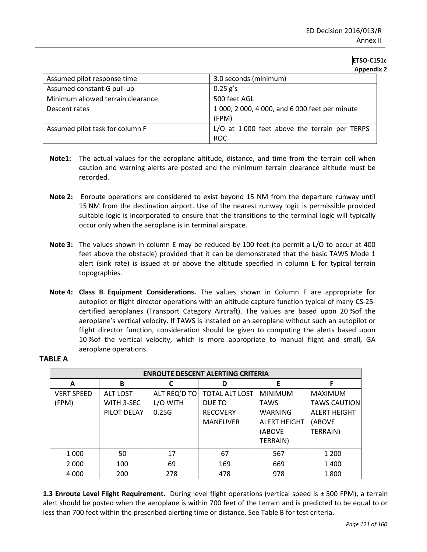|                                   | .                                                          |
|-----------------------------------|------------------------------------------------------------|
| Assumed pilot response time       | 3.0 seconds (minimum)                                      |
| Assumed constant G pull-up        | $0.25$ g's                                                 |
| Minimum allowed terrain clearance | 500 feet AGL                                               |
| Descent rates                     | 1 000, 2 000, 4 000, and 6 000 feet per minute<br>(FPM)    |
| Assumed pilot task for column F   | L/O at 1000 feet above the terrain per TERPS<br><b>ROC</b> |

- **Note1:** The actual values for the aeroplane altitude, distance, and time from the terrain cell when caution and warning alerts are posted and the minimum terrain clearance altitude must be recorded.
- **Note 2:** Enroute operations are considered to exist beyond 15 NM from the departure runway until 15 NM from the destination airport. Use of the nearest runway logic is permissible provided suitable logic is incorporated to ensure that the transitions to the terminal logic will typically occur only when the aeroplane is in terminal airspace.
- **Note 3:** The values shown in column E may be reduced by 100 feet (to permit a L/O to occur at 400 feet above the obstacle) provided that it can be demonstrated that the basic TAWS Mode 1 alert (sink rate) is issued at or above the altitude specified in column E for typical terrain topographies.
- **Note 4: Class B Equipment Considerations.** The values shown in Column F are appropriate for autopilot or flight director operations with an altitude capture function typical of many CS-25 certified aeroplanes (Transport Category Aircraft). The values are based upon 20 %of the aeroplane's vertical velocity. If TAWS is installed on an aeroplane without such an autopilot or flight director function, consideration should be given to computing the alerts based upon 10 %of the vertical velocity, which is more appropriate to manual flight and small, GA aeroplane operations.

## **TABLE A**

| <b>ENROUTE DESCENT ALERTING CRITERIA</b> |                 |              |                       |                     |                     |  |
|------------------------------------------|-----------------|--------------|-----------------------|---------------------|---------------------|--|
| A                                        | B               |              | D                     | F                   | F                   |  |
| <b>VERT SPEED</b>                        | <b>ALT LOST</b> | ALT REQ'D TO | <b>TOTAL ALT LOST</b> | <b>MINIMUM</b>      | <b>MAXIMUM</b>      |  |
| (FPM)                                    | WITH 3-SEC      | L/O WITH     | DUE TO                | <b>TAWS</b>         | <b>TAWS CAUTION</b> |  |
|                                          | PILOT DELAY     | 0.25G        | <b>RECOVERY</b>       | <b>WARNING</b>      | <b>ALERT HEIGHT</b> |  |
|                                          |                 |              | <b>MANEUVER</b>       | <b>ALERT HEIGHT</b> | (ABOVE              |  |
|                                          |                 |              |                       | (ABOVE              | TERRAIN)            |  |
|                                          |                 |              |                       | TERRAIN)            |                     |  |
| 1 0 0 0                                  | 50              | 17           | 67                    | 567                 | 1 200               |  |
| 2 0 0 0                                  | 100             | 69           | 169                   | 669                 | 1 4 0 0             |  |
| 4 0 0 0                                  | 200             | 278          | 478                   | 978                 | 1800                |  |

**1.3 Enroute Level Flight Requirement.** During level flight operations (vertical speed is ± 500 FPM), a terrain alert should be posted when the aeroplane is within 700 feet of the terrain and is predicted to be equal to or less than 700 feet within the prescribed alerting time or distance. See Table B for test criteria.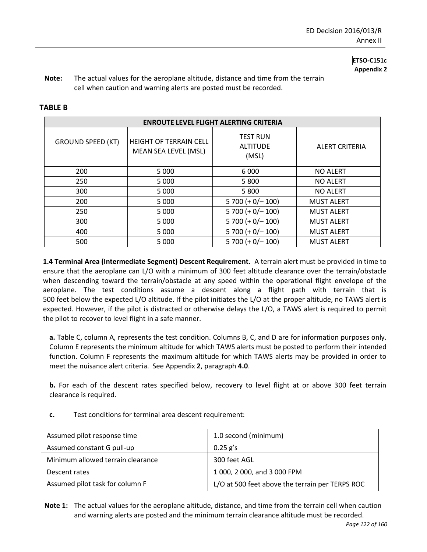**Note:** The actual values for the aeroplane altitude, distance and time from the terrain cell when caution and warning alerts are posted must be recorded.

#### **TABLE B**

| <b>ENROUTE LEVEL FLIGHT ALERTING CRITERIA</b> |                                                       |                    |                       |  |  |
|-----------------------------------------------|-------------------------------------------------------|--------------------|-----------------------|--|--|
| <b>GROUND SPEED (KT)</b>                      | <b>HEIGHT OF TERRAIN CELL</b><br>MEAN SEA LEVEL (MSL) |                    | <b>ALERT CRITERIA</b> |  |  |
| 200                                           | 5 0 0 0                                               |                    | <b>NO ALERT</b>       |  |  |
| 250                                           | 5 0 0 0                                               | 5 800              | <b>NO ALERT</b>       |  |  |
| 300                                           | 5 0 0 0                                               |                    | <b>NO ALERT</b>       |  |  |
| 200<br>5 0 0 0                                |                                                       | $5700 (+ 0/- 100)$ | <b>MUST ALERT</b>     |  |  |
| 250<br>5 0 0 0                                |                                                       | $5700 (+ 0/- 100)$ | <b>MUST ALERT</b>     |  |  |
| 300<br>5 0 0 0                                |                                                       | $5700 (+ 0/- 100)$ | <b>MUST ALERT</b>     |  |  |
| 400<br>5 0 0 0                                |                                                       | $5700 (+ 0/- 100)$ | <b>MUST ALERT</b>     |  |  |
| 500<br>5 0 0 0                                |                                                       | $5700 (+ 0/- 100)$ | <b>MUST ALERT</b>     |  |  |

**1.4 Terminal Area (Intermediate Segment) Descent Requirement.** A terrain alert must be provided in time to ensure that the aeroplane can L/O with a minimum of 300 feet altitude clearance over the terrain/obstacle when descending toward the terrain/obstacle at any speed within the operational flight envelope of the aeroplane. The test conditions assume a descent along a flight path with terrain that is 500 feet below the expected L/O altitude. If the pilot initiates the L/O at the proper altitude, no TAWS alert is expected. However, if the pilot is distracted or otherwise delays the L/O, a TAWS alert is required to permit the pilot to recover to level flight in a safe manner.

**a.** Table C, column A, represents the test condition. Columns B, C, and D are for information purposes only. Column E represents the minimum altitude for which TAWS alerts must be posted to perform their intended function. Column F represents the maximum altitude for which TAWS alerts may be provided in order to meet the nuisance alert criteria. See Appendix **2**, paragraph **4.0**.

**b.** For each of the descent rates specified below, recovery to level flight at or above 300 feet terrain clearance is required.

**c.** Test conditions for terminal area descent requirement:

| Assumed pilot response time       | 1.0 second (minimum)                            |
|-----------------------------------|-------------------------------------------------|
| Assumed constant G pull-up        | $0.25$ g's                                      |
| Minimum allowed terrain clearance | 300 feet AGL                                    |
| Descent rates                     | 1 000, 2 000, and 3 000 FPM                     |
| Assumed pilot task for column F   | L/O at 500 feet above the terrain per TERPS ROC |

**Note 1:** The actual values for the aeroplane altitude, distance, and time from the terrain cell when caution and warning alerts are posted and the minimum terrain clearance altitude must be recorded.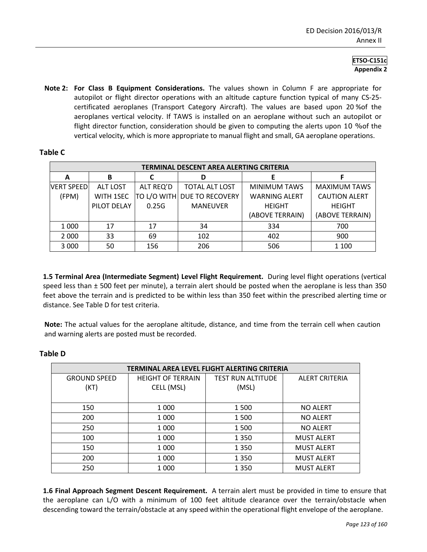**Note 2: For Class B Equipment Considerations.** The values shown in Column F are appropriate for autopilot or flight director operations with an altitude capture function typical of many CS-25 certificated aeroplanes (Transport Category Aircraft). The values are based upon 20 %of the aeroplanes vertical velocity. If TAWS is installed on an aeroplane without such an autopilot or flight director function, consideration should be given to computing the alerts upon 10 %of the vertical velocity, which is more appropriate to manual flight and small, GA aeroplane operations.

# **Table C**

| TERMINAL DESCENT AREA ALERTING CRITERIA |                 |           |                             |                      |                      |
|-----------------------------------------|-----------------|-----------|-----------------------------|----------------------|----------------------|
| A                                       | B               |           |                             |                      |                      |
| <b>VERT SPEED</b>                       | <b>ALT LOST</b> | ALT REQ'D | <b>TOTAL ALT LOST</b>       | <b>MINIMUM TAWS</b>  | <b>MAXIMUM TAWS</b>  |
| (FPM)                                   | WITH 1SEC       |           | TO L/O WITH DUE TO RECOVERY | <b>WARNING ALERT</b> | <b>CAUTION ALERT</b> |
|                                         | PILOT DELAY     | 0.25G     | <b>MANEUVER</b>             | <b>HEIGHT</b>        | <b>HEIGHT</b>        |
|                                         |                 |           |                             | (ABOVE TERRAIN)      | (ABOVE TERRAIN)      |
| 1 0 0 0                                 | 17              | 17        | 34                          | 334                  | 700                  |
| 2 0 0 0                                 | 33              | 69        | 102                         | 402                  | 900                  |
| 3 0 0 0                                 | 50              | 156       | 206                         | 506                  | 1 100                |

**1.5 Terminal Area (Intermediate Segment) Level Flight Requirement.** During level flight operations (vertical speed less than ± 500 feet per minute), a terrain alert should be posted when the aeroplane is less than 350 feet above the terrain and is predicted to be within less than 350 feet within the prescribed alerting time or distance. See Table D for test criteria.

**Note:** The actual values for the aeroplane altitude, distance, and time from the terrain cell when caution and warning alerts are posted must be recorded.

## **Table D**

| TERMINAL AREA LEVEL FLIGHT ALERTING CRITERIA |                          |                          |                       |  |
|----------------------------------------------|--------------------------|--------------------------|-----------------------|--|
| <b>GROUND SPEED</b>                          | <b>HEIGHT OF TERRAIN</b> | <b>TEST RUN ALTITUDE</b> | <b>ALERT CRITERIA</b> |  |
| (KT)                                         | CELL (MSL)               | (MSL)                    |                       |  |
|                                              |                          |                          |                       |  |
| 150                                          | 1 0 0 0                  | 1 500                    | <b>NO ALERT</b>       |  |
| 200                                          | 1 0 0 0                  | 1 500                    | <b>NO ALERT</b>       |  |
| 250                                          | 1 0 0 0                  | 1500                     | <b>NO ALERT</b>       |  |
| 100                                          | 1 0 0 0                  | 1 3 5 0                  | <b>MUST ALERT</b>     |  |
| 150                                          | 1 0 0 0                  | 1 3 5 0                  | <b>MUST ALERT</b>     |  |
| 200                                          | 1 0 0 0                  | 1 3 5 0                  | <b>MUST ALERT</b>     |  |
| 250                                          | 1 000                    | 1 3 5 0                  | <b>MUST ALERT</b>     |  |

**1.6 Final Approach Segment Descent Requirement.** A terrain alert must be provided in time to ensure that the aeroplane can L/O with a minimum of 100 feet altitude clearance over the terrain/obstacle when descending toward the terrain/obstacle at any speed within the operational flight envelope of the aeroplane.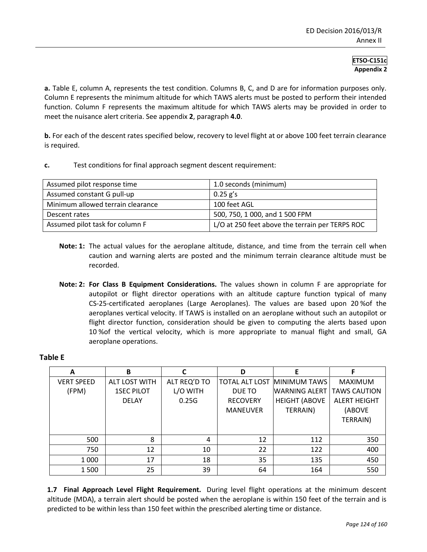**a.** Table E, column A, represents the test condition. Columns B, C, and D are for information purposes only. Column E represents the minimum altitude for which TAWS alerts must be posted to perform their intended function. Column F represents the maximum altitude for which TAWS alerts may be provided in order to meet the nuisance alert criteria. See appendix **2**, paragraph **4.0**.

**b.** For each of the descent rates specified below, recovery to level flight at or above 100 feet terrain clearance is required.

**c.** Test conditions for final approach segment descent requirement:

| Assumed pilot response time       | 1.0 seconds (minimum)                           |
|-----------------------------------|-------------------------------------------------|
| Assumed constant G pull-up        | $0.25$ g's                                      |
| Minimum allowed terrain clearance | 100 feet AGL                                    |
| Descent rates                     | 500, 750, 1 000, and 1 500 FPM                  |
| Assumed pilot task for column F   | L/O at 250 feet above the terrain per TERPS ROC |

- **Note: 1:** The actual values for the aeroplane altitude, distance, and time from the terrain cell when caution and warning alerts are posted and the minimum terrain clearance altitude must be recorded.
- **Note: 2: For Class B Equipment Considerations.** The values shown in column F are appropriate for autopilot or flight director operations with an altitude capture function typical of many CS-25-certificated aeroplanes (Large Aeroplanes). The values are based upon 20 %of the aeroplanes vertical velocity. If TAWS is installed on an aeroplane without such an autopilot or flight director function, consideration should be given to computing the alerts based upon 10 %of the vertical velocity, which is more appropriate to manual flight and small, GA aeroplane operations.

#### **Table E**

| A                 | B                    |              | D                     |                      |                     |
|-------------------|----------------------|--------------|-----------------------|----------------------|---------------------|
| <b>VERT SPEED</b> | <b>ALT LOST WITH</b> | ALT REQ'D TO | <b>TOTAL ALT LOST</b> | MINIMUM TAWS         | <b>MAXIMUM</b>      |
| (FPM)             | <b>1SEC PILOT</b>    | L/O WITH     | DUE TO                | <b>WARNING ALERT</b> | <b>TAWS CAUTION</b> |
|                   | <b>DELAY</b>         | 0.25G        | <b>RECOVERY</b>       | <b>HEIGHT (ABOVE</b> | <b>ALERT HEIGHT</b> |
|                   |                      |              | <b>MANEUVER</b>       | TERRAIN)             | (ABOVE              |
|                   |                      |              |                       |                      | TERRAIN)            |
|                   |                      |              |                       |                      |                     |
| 500               | 8                    | 4            | 12                    | 112                  | 350                 |
| 750               | 12                   | 10           | 22                    | 122                  | 400                 |
| 1 000             | 17                   | 18           | 35                    | 135                  | 450                 |
| 1 500             | 25                   | 39           | 64                    | 164                  | 550                 |

**1.7 Final Approach Level Flight Requirement.** During level flight operations at the minimum descent altitude (MDA), a terrain alert should be posted when the aeroplane is within 150 feet of the terrain and is predicted to be within less than 150 feet within the prescribed alerting time or distance.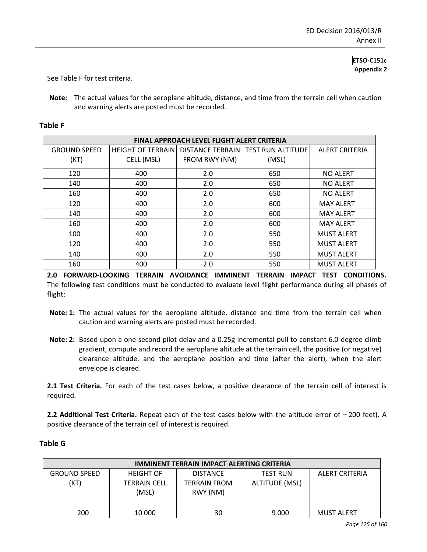See Table F for test criteria.

**Note:** The actual values for the aeroplane altitude, distance, and time from the terrain cell when caution and warning alerts are posted must be recorded.

#### **Table F**

| FINAL APPROACH LEVEL FLIGHT ALERT CRITERIA |                          |               |                                      |                       |
|--------------------------------------------|--------------------------|---------------|--------------------------------------|-----------------------|
| <b>GROUND SPEED</b>                        | <b>HEIGHT OF TERRAIN</b> |               | DISTANCE TERRAIN   TEST RUN ALTITUDE | <b>ALERT CRITERIA</b> |
| (KT)                                       | CELL (MSL)               | FROM RWY (NM) | (MSL)                                |                       |
| 120                                        | 400                      | 2.0           | 650                                  | <b>NO ALERT</b>       |
| 140                                        | 400                      | 2.0           | 650                                  | <b>NO ALERT</b>       |
| 160                                        | 400                      | 2.0           | 650                                  | <b>NO ALERT</b>       |
| 120                                        | 400                      | 2.0           | 600                                  | <b>MAY ALERT</b>      |
| 140                                        | 400                      | 2.0           | 600                                  | <b>MAY ALERT</b>      |
| 160                                        | 400                      | 2.0           | 600                                  | <b>MAY ALERT</b>      |
| 100                                        | 400                      | 2.0           | 550                                  | <b>MUST ALERT</b>     |
| 120                                        | 400                      | 2.0           | 550                                  | <b>MUST ALERT</b>     |
| 140                                        | 400                      | 2.0           | 550                                  | <b>MUST ALERT</b>     |
| 160                                        | 400                      | 2.0           | 550                                  | <b>MUST ALERT</b>     |

**2.0 FORWARD-LOOKING TERRAIN AVOIDANCE IMMINENT TERRAIN IMPACT TEST CONDITIONS.**  The following test conditions must be conducted to evaluate level flight performance during all phases of flight:

- **Note: 1:** The actual values for the aeroplane altitude, distance and time from the terrain cell when caution and warning alerts are posted must be recorded.
- **Note: 2:** Based upon a one-second pilot delay and a 0.25g incremental pull to constant 6.0-degree climb gradient, compute and record the aeroplane altitude at the terrain cell, the positive (or negative) clearance altitude, and the aeroplane position and time (after the alert), when the alert envelope is cleared.

**2.1 Test Criteria.** For each of the test cases below, a positive clearance of the terrain cell of interest is required.

**2.2 Additional Test Criteria.** Repeat each of the test cases below with the altitude error of – 200 feet). A positive clearance of the terrain cell of interest is required.

## **Table G**

| <b>IMMINENT TERRAIN IMPACT ALERTING CRITERIA</b> |                     |                 |                       |                       |
|--------------------------------------------------|---------------------|-----------------|-----------------------|-----------------------|
| <b>GROUND SPEED</b>                              | <b>HEIGHT OF</b>    | <b>DISTANCE</b> | <b>TEST RUN</b>       | <b>ALERT CRITERIA</b> |
| (KT)                                             | <b>TERRAIN CELL</b> | TERRAIN FROM    | <b>ALTITUDE (MSL)</b> |                       |
|                                                  | (MSL)               | RWY (NM)        |                       |                       |
|                                                  |                     |                 |                       |                       |
| 200                                              | 10 000              | 30              | 9 0 0 0               | <b>MUST ALERT</b>     |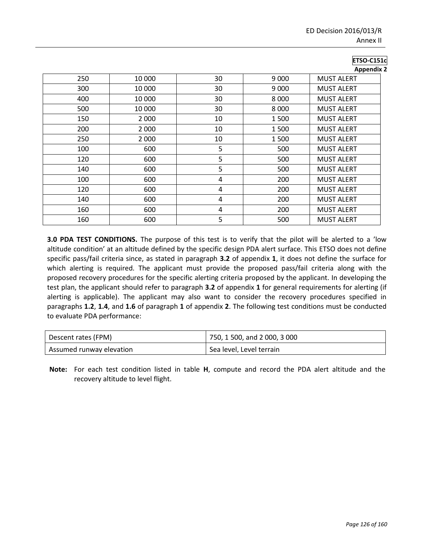|     |         |    |         | Appendix          |
|-----|---------|----|---------|-------------------|
| 250 | 10 000  | 30 | 9 0 0 0 | <b>MUST ALERT</b> |
| 300 | 10 000  | 30 | 9 0 0 0 | <b>MUST ALERT</b> |
| 400 | 10 000  | 30 | 8 0 0 0 | <b>MUST ALERT</b> |
| 500 | 10 000  | 30 | 8 0 0 0 | <b>MUST ALERT</b> |
| 150 | 2 0 0 0 | 10 | 1500    | <b>MUST ALERT</b> |
| 200 | 2 0 0 0 | 10 | 1500    | <b>MUST ALERT</b> |
| 250 | 2 0 0 0 | 10 | 1500    | <b>MUST ALERT</b> |
| 100 | 600     | 5  | 500     | <b>MUST ALERT</b> |
| 120 | 600     | 5  | 500     | <b>MUST ALERT</b> |
| 140 | 600     | 5  | 500     | <b>MUST ALERT</b> |
| 100 | 600     | 4  | 200     | <b>MUST ALERT</b> |
| 120 | 600     | 4  | 200     | <b>MUST ALERT</b> |
| 140 | 600     | 4  | 200     | <b>MUST ALERT</b> |
| 160 | 600     | 4  | 200     | <b>MUST ALERT</b> |
| 160 | 600     | 5  | 500     | <b>MUST ALERT</b> |

**3.0 PDA TEST CONDITIONS.** The purpose of this test is to verify that the pilot will be alerted to a 'low altitude condition' at an altitude defined by the specific design PDA alert surface. This ETSO does not define specific pass/fail criteria since, as stated in paragraph **3.2** of appendix **1**, it does not define the surface for which alerting is required. The applicant must provide the proposed pass/fail criteria along with the proposed recovery procedures for the specific alerting criteria proposed by the applicant. In developing the test plan, the applicant should refer to paragraph **3.2** of appendix **1** for general requirements for alerting (if alerting is applicable). The applicant may also want to consider the recovery procedures specified in paragraphs **1.2**, **1.4**, and **1.6** of paragraph **1** of appendix **2**. The following test conditions must be conducted to evaluate PDA performance:

| Descent rates (FPM)      | 750, 1 500, and 2 000, 3 000 |
|--------------------------|------------------------------|
| Assumed runway elevation | Sea level, Level terrain     |

**Note:** For each test condition listed in table **H**, compute and record the PDA alert altitude and the recovery altitude to level flight.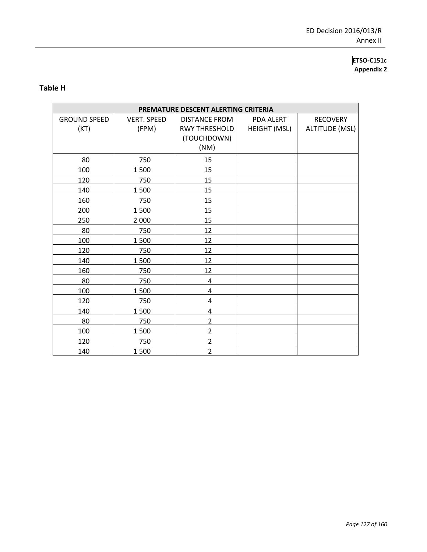# **Table H**

|                     |                    | PREMATURE DESCENT ALERTING CRITERIA |                     |                       |
|---------------------|--------------------|-------------------------------------|---------------------|-----------------------|
| <b>GROUND SPEED</b> | <b>VERT. SPEED</b> | <b>DISTANCE FROM</b>                | <b>PDA ALERT</b>    | <b>RECOVERY</b>       |
| (KT)                | (FPM)              | <b>RWY THRESHOLD</b>                | <b>HEIGHT (MSL)</b> | <b>ALTITUDE (MSL)</b> |
|                     |                    | (TOUCHDOWN)                         |                     |                       |
|                     |                    | (NM)                                |                     |                       |
| 80                  | 750                | 15                                  |                     |                       |
| 100                 | 1500               | 15                                  |                     |                       |
| 120                 | 750                | 15                                  |                     |                       |
| 140                 | 1500               | 15                                  |                     |                       |
| 160                 | 750                | 15                                  |                     |                       |
| 200                 | 1500               | 15                                  |                     |                       |
| 250                 | 2 0 0 0            | 15                                  |                     |                       |
| 80                  | 750                | 12                                  |                     |                       |
| 100                 | 1500               | 12                                  |                     |                       |
| 120                 | 750                | 12                                  |                     |                       |
| 140                 | 1500               | 12                                  |                     |                       |
| 160                 | 750                | 12                                  |                     |                       |
| 80                  | 750                | $\overline{\mathbf{r}}$             |                     |                       |
| 100                 | 1500               | 4                                   |                     |                       |
| 120                 | 750                | 4                                   |                     |                       |
| 140                 | 1500               | $\pmb{4}$                           |                     |                       |
| 80                  | 750                | $\overline{2}$                      |                     |                       |
| 100                 | 1500               | $\overline{2}$                      |                     |                       |
| 120                 | 750                | $\overline{2}$                      |                     |                       |
| 140                 | 1500               | $\overline{2}$                      |                     |                       |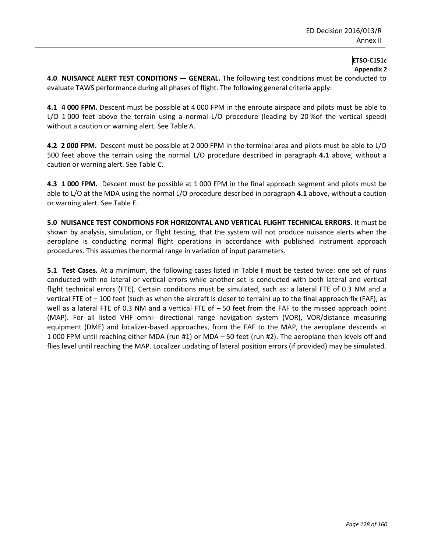**4.0 NUISANCE ALERT TEST CONDITIONS — GENERAL.** The following test conditions must be conducted to evaluate TAWS performance during all phases of flight. The following general criteria apply:

**4.1 4 000 FPM.** Descent must be possible at 4 000 FPM in the enroute airspace and pilots must be able to L/O 1 000 feet above the terrain using a normal L/O procedure (leading by 20 %of the vertical speed) without a caution or warning alert. See Table A.

**4.2 2 000 FPM.** Descent must be possible at 2 000 FPM in the terminal area and pilots must be able to L/O 500 feet above the terrain using the normal L/O procedure described in paragraph **4.1** above, without a caution or warning alert. See Table C.

**4.3 1 000 FPM.** Descent must be possible at 1 000 FPM in the final approach segment and pilots must be able to L/O at the MDA using the normal L/O procedure described in paragraph **4.1** above, without a caution or warning alert. See Table E.

**5.0 NUISANCE TEST CONDITIONS FOR HORIZONTAL AND VERTICAL FLIGHT TECHNICAL ERRORS.** It must be shown by analysis, simulation, or flight testing, that the system will not produce nuisance alerts when the aeroplane is conducting normal flight operations in accordance with published instrument approach procedures. This assumes the normal range in variation of input parameters.

**5.1 Test Cases.** At a minimum, the following cases listed in Table **I** must be tested twice: one set of runs conducted with no lateral or vertical errors while another set is conducted with both lateral and vertical flight technical errors (FTE). Certain conditions must be simulated, such as: a lateral FTE of 0.3 NM and a vertical FTE of – 100 feet (such as when the aircraft is closer to terrain) up to the final approach fix (FAF), as well as a lateral FTE of 0.3 NM and a vertical FTE of – 50 feet from the FAF to the missed approach point (MAP). For all listed VHF omni- directional range navigation system (VOR), VOR/distance measuring equipment (DME) and localizer-based approaches, from the FAF to the MAP, the aeroplane descends at 1 000 FPM until reaching either MDA (run #1) or MDA – 50 feet (run #2). The aeroplane then levels off and flies level until reaching the MAP. Localizer updating of lateral position errors (if provided) may be simulated.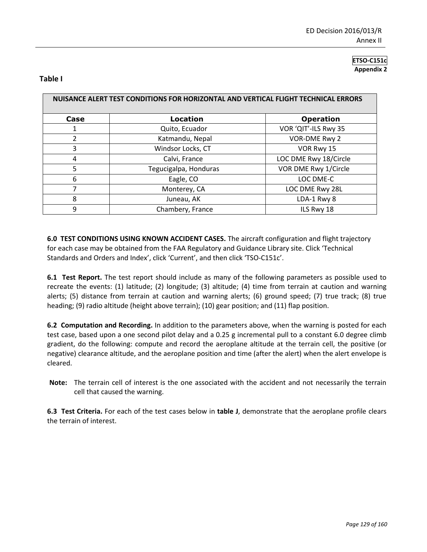## **Table I**

| NUISANCE ALERT TEST CONDITIONS FOR HORIZONTAL AND VERTICAL FLIGHT TECHNICAL ERRORS |                       |                       |  |
|------------------------------------------------------------------------------------|-----------------------|-----------------------|--|
| Case                                                                               | <b>Location</b>       | <b>Operation</b>      |  |
|                                                                                    | Quito, Ecuador        | VOR 'QIT'-ILS Rwy 35  |  |
| 2                                                                                  | Katmandu, Nepal       | VOR-DME Rwy 2         |  |
| 3                                                                                  | Windsor Locks, CT     | VOR Rwy 15            |  |
| 4                                                                                  | Calvi, France         | LOC DME Rwy 18/Circle |  |
| 5                                                                                  | Tegucigalpa, Honduras | VOR DME Rwy 1/Circle  |  |
| 6                                                                                  | Eagle, CO             | LOC DME-C             |  |
| 7                                                                                  | Monterey, CA          | LOC DME Rwy 28L       |  |
| 8                                                                                  | Juneau, AK            | LDA-1 Rwy 8           |  |
| 9                                                                                  | Chambery, France      | ILS Rwy 18            |  |

**6.0 TEST CONDITIONS USING KNOWN ACCIDENT CASES.** The aircraft configuration and flight trajectory for each case may be obtained from the FAA Regulatory and Guidance Library site. Click 'Technical Standards and Orders and Index', click 'Current', and then click 'TSO-C151c'.

**6.1 Test Report.** The test report should include as many of the following parameters as possible used to recreate the events: (1) latitude; (2) longitude; (3) altitude; (4) time from terrain at caution and warning alerts; (5) distance from terrain at caution and warning alerts; (6) ground speed; (7) true track; (8) true heading; (9) radio altitude (height above terrain); (10) gear position; and (11) flap position.

**6.2 Computation and Recording.** In addition to the parameters above, when the warning is posted for each test case, based upon a one second pilot delay and a 0.25 g incremental pull to a constant 6.0 degree climb gradient, do the following: compute and record the aeroplane altitude at the terrain cell, the positive (or negative) clearance altitude, and the aeroplane position and time (after the alert) when the alert envelope is cleared.

**Note:** The terrain cell of interest is the one associated with the accident and not necessarily the terrain cell that caused the warning.

**6.3 Test Criteria.** For each of the test cases below in **table J**, demonstrate that the aeroplane profile clears the terrain of interest.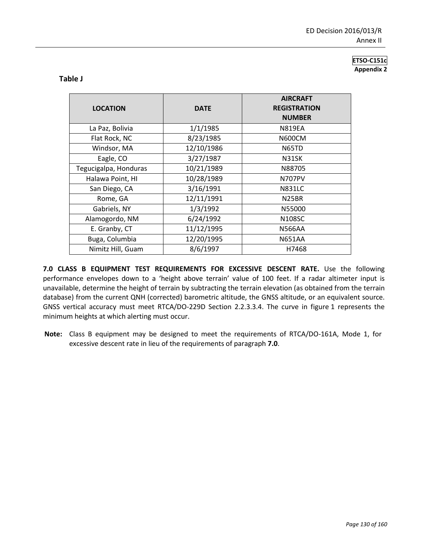## **Table J**

| <b>LOCATION</b>       | <b>DATE</b> | <b>AIRCRAFT</b><br><b>REGISTRATION</b><br><b>NUMBER</b> |
|-----------------------|-------------|---------------------------------------------------------|
| La Paz, Bolivia       | 1/1/1985    | <b>N819EA</b>                                           |
| Flat Rock, NC         | 8/23/1985   | <b>N600CM</b>                                           |
| Windsor, MA           | 12/10/1986  | N65TD                                                   |
| Eagle, CO             | 3/27/1987   | N31SK                                                   |
| Tegucigalpa, Honduras | 10/21/1989  | N88705                                                  |
| Halawa Point, HI      | 10/28/1989  | N707PV                                                  |
| San Diego, CA         | 3/16/1991   | <b>N831LC</b>                                           |
| Rome, GA              | 12/11/1991  | N <sub>25</sub> BR                                      |
| Gabriels, NY          | 1/3/1992    | N55000                                                  |
| Alamogordo, NM        | 6/24/1992   | N108SC                                                  |
| E. Granby, CT         | 11/12/1995  | <b>N566AA</b>                                           |
| Buga, Columbia        | 12/20/1995  | <b>N651AA</b>                                           |
| Nimitz Hill, Guam     | 8/6/1997    | H7468                                                   |

**7.0 CLASS B EQUIPMENT TEST REQUIREMENTS FOR EXCESSIVE DESCENT RATE.** Use the following performance envelopes down to a 'height above terrain' value of 100 feet. If a radar altimeter input is unavailable, determine the height of terrain by subtracting the terrain elevation (as obtained from the terrain database) from the current QNH (corrected) barometric altitude, the GNSS altitude, or an equivalent source. GNSS vertical accuracy must meet RTCA/DO-229D Section 2.2.3.3.4. The curve in figure 1 represents the minimum heights at which alerting must occur.

**Note:** Class B equipment may be designed to meet the requirements of RTCA/DO-161A, Mode 1, for excessive descent rate in lieu of the requirements of paragraph **7.0**.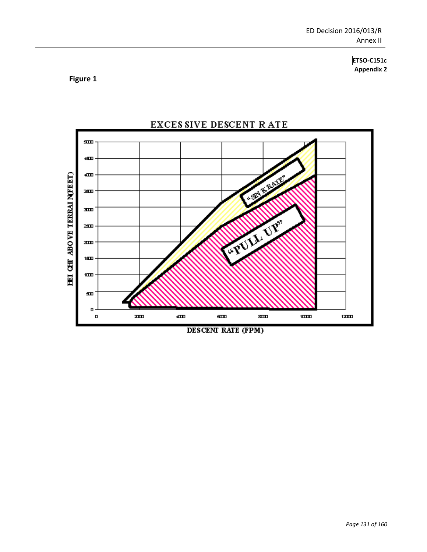**Figure 1**



DESCENT RATE (FPM)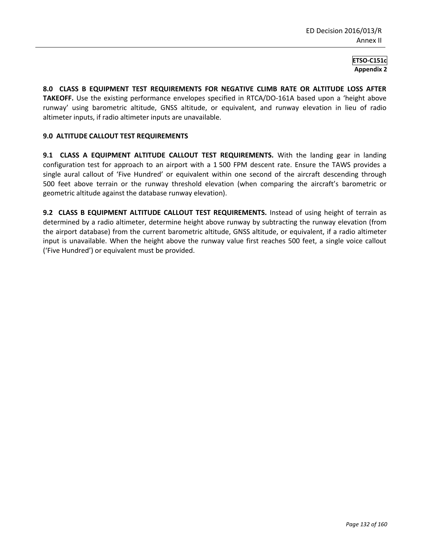**8.0 CLASS B EQUIPMENT TEST REQUIREMENTS FOR NEGATIVE CLIMB RATE OR ALTITUDE LOSS AFTER TAKEOFF.** Use the existing performance envelopes specified in RTCA/DO-161A based upon a 'height above runway' using barometric altitude, GNSS altitude, or equivalent, and runway elevation in lieu of radio altimeter inputs, if radio altimeter inputs are unavailable.

## **9.0 ALTITUDE CALLOUT TEST REQUIREMENTS**

9.1 CLASS A EQUIPMENT ALTITUDE CALLOUT TEST REQUIREMENTS. With the landing gear in landing configuration test for approach to an airport with a 1 500 FPM descent rate. Ensure the TAWS provides a single aural callout of 'Five Hundred' or equivalent within one second of the aircraft descending through 500 feet above terrain or the runway threshold elevation (when comparing the aircraft's barometric or geometric altitude against the database runway elevation).

**9.2 CLASS B EQUIPMENT ALTITUDE CALLOUT TEST REQUIREMENTS.** Instead of using height of terrain as determined by a radio altimeter, determine height above runway by subtracting the runway elevation (from the airport database) from the current barometric altitude, GNSS altitude, or equivalent, if a radio altimeter input is unavailable. When the height above the runway value first reaches 500 feet, a single voice callout ('Five Hundred') or equivalent must be provided.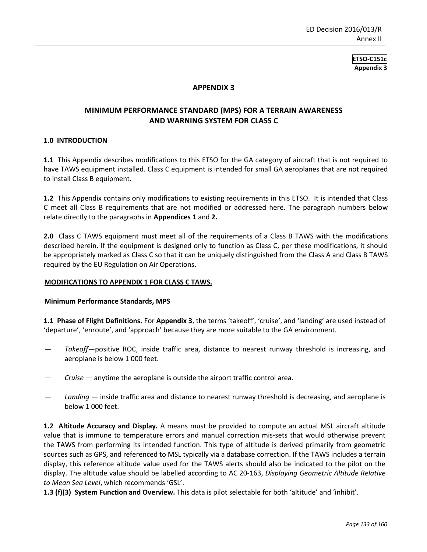# **APPENDIX 3**

# **MINIMUM PERFORMANCE STANDARD (MPS) FOR A TERRAIN AWARENESS AND WARNING SYSTEM FOR CLASS C**

## **1.0 INTRODUCTION**

**1.1** This Appendix describes modifications to this ETSO for the GA category of aircraft that is not required to have TAWS equipment installed. Class C equipment is intended for small GA aeroplanes that are not required to install Class B equipment.

**1.2** This Appendix contains only modifications to existing requirements in this ETSO. It is intended that Class C meet all Class B requirements that are not modified or addressed here. The paragraph numbers below relate directly to the paragraphs in **Appendices 1** and **2.**

**2.0** Class C TAWS equipment must meet all of the requirements of a Class B TAWS with the modifications described herein. If the equipment is designed only to function as Class C, per these modifications, it should be appropriately marked as Class C so that it can be uniquely distinguished from the Class A and Class B TAWS required by the EU Regulation on Air Operations.

#### **MODIFICATIONS TO APPENDIX 1 FOR CLASS C TAWS.**

#### **Minimum Performance Standards, MPS**

**1.1 Phase of Flight Definitions.** For **Appendix 3**, the terms 'takeoff', 'cruise', and 'landing' are used instead of 'departure', 'enroute', and 'approach' because they are more suitable to the GA environment.

- *Takeoff*—positive ROC, inside traffic area, distance to nearest runway threshold is increasing, and aeroplane is below 1 000 feet.
- *Cruise* anytime the aeroplane is outside the airport traffic control area.
- *Landing* inside traffic area and distance to nearest runway threshold is decreasing, and aeroplane is below 1 000 feet.

**1.2 Altitude Accuracy and Display.** A means must be provided to compute an actual MSL aircraft altitude value that is immune to temperature errors and manual correction mis-sets that would otherwise prevent the TAWS from performing its intended function. This type of altitude is derived primarily from geometric sources such as GPS, and referenced to MSL typically via a database correction. If the TAWS includes a terrain display, this reference altitude value used for the TAWS alerts should also be indicated to the pilot on the display. The altitude value should be labelled according to AC 20-163, *Displaying Geometric Altitude Relative to Mean Sea Level*, which recommends 'GSL'.

**1.3 (f)(3) System Function and Overview.** This data is pilot selectable for both 'altitude' and 'inhibit'.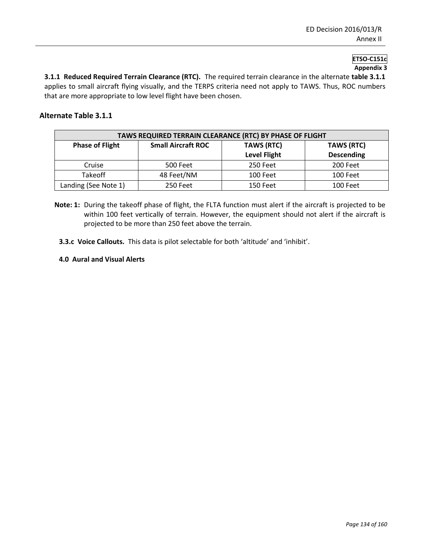**3.1.1 Reduced Required Terrain Clearance (RTC).** The required terrain clearance in the alternate **table 3.1.1** applies to small aircraft flying visually, and the TERPS criteria need not apply to TAWS. Thus, ROC numbers that are more appropriate to low level flight have been chosen.

# **Alternate Table 3.1.1**

| TAWS REQUIRED TERRAIN CLEARANCE (RTC) BY PHASE OF FLIGHT |                                                                     |                     |                   |  |
|----------------------------------------------------------|---------------------------------------------------------------------|---------------------|-------------------|--|
| <b>Phase of Flight</b>                                   | <b>TAWS (RTC)</b><br><b>Small Aircraft ROC</b><br><b>TAWS (RTC)</b> |                     |                   |  |
|                                                          |                                                                     | <b>Level Flight</b> | <b>Descending</b> |  |
| Cruise                                                   | 500 Feet                                                            | 250 Feet            | 200 Feet          |  |
| <b>Takeoff</b>                                           | 48 Feet/NM                                                          | 100 Feet            | 100 Feet          |  |
| Landing (See Note 1)                                     | 250 Feet                                                            | 150 Feet            | 100 Feet          |  |

- **Note: 1:** During the takeoff phase of flight, the FLTA function must alert if the aircraft is projected to be within 100 feet vertically of terrain. However, the equipment should not alert if the aircraft is projected to be more than 250 feet above the terrain.
- **3.3.c Voice Callouts.** This data is pilot selectable for both 'altitude' and 'inhibit'.

**4.0 Aural and Visual Alerts**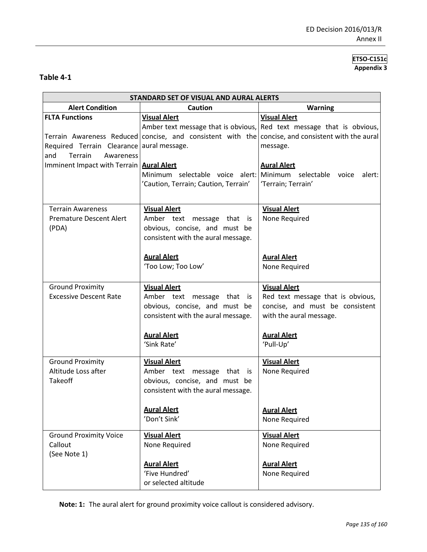# **Table 4-1**

| STANDARD SET OF VISUAL AND AURAL ALERTS                  |                                                          |                                                                                                   |  |
|----------------------------------------------------------|----------------------------------------------------------|---------------------------------------------------------------------------------------------------|--|
| <b>Alert Condition</b>                                   | Caution                                                  | <b>Warning</b>                                                                                    |  |
| <b>FLTA Functions</b>                                    | <b>Visual Alert</b>                                      | <b>Visual Alert</b><br>Amber text message that is obvious, Red text message that is obvious,      |  |
|                                                          |                                                          | Terrain Awareness Reduced concise, and consistent with the concise, and consistent with the aural |  |
| Required Terrain Clearance aural message.                |                                                          | message.                                                                                          |  |
| Terrain<br>and<br>Awareness                              |                                                          |                                                                                                   |  |
| Imminent Impact with Terrain   Aural Alert               |                                                          | <b>Aural Alert</b>                                                                                |  |
|                                                          | Minimum selectable voice alert: Minimum selectable voice | alert:                                                                                            |  |
|                                                          | 'Caution, Terrain; Caution, Terrain'                     | 'Terrain; Terrain'                                                                                |  |
|                                                          |                                                          |                                                                                                   |  |
| <b>Terrain Awareness</b>                                 | <b>Visual Alert</b>                                      | <b>Visual Alert</b>                                                                               |  |
| <b>Premature Descent Alert</b>                           | Amber text message<br>that is                            | None Required                                                                                     |  |
| (PDA)                                                    | obvious, concise, and must be                            |                                                                                                   |  |
|                                                          | consistent with the aural message.                       |                                                                                                   |  |
|                                                          |                                                          |                                                                                                   |  |
|                                                          | <b>Aural Alert</b>                                       | <b>Aural Alert</b>                                                                                |  |
|                                                          | 'Too Low; Too Low'                                       | None Required                                                                                     |  |
|                                                          | <b>Visual Alert</b>                                      | <b>Visual Alert</b>                                                                               |  |
| <b>Ground Proximity</b><br><b>Excessive Descent Rate</b> | Amber text message that<br>is i                          | Red text message that is obvious,                                                                 |  |
|                                                          | obvious, concise, and must be                            | concise, and must be consistent                                                                   |  |
|                                                          | consistent with the aural message.                       | with the aural message.                                                                           |  |
|                                                          |                                                          |                                                                                                   |  |
|                                                          | <b>Aural Alert</b>                                       | <b>Aural Alert</b>                                                                                |  |
|                                                          | 'Sink Rate'                                              | 'Pull-Up'                                                                                         |  |
|                                                          |                                                          |                                                                                                   |  |
| <b>Ground Proximity</b><br>Altitude Loss after           | <b>Visual Alert</b><br>Amber text message that is        | <b>Visual Alert</b><br>None Required                                                              |  |
| <b>Takeoff</b>                                           | obvious, concise, and must be                            |                                                                                                   |  |
|                                                          | consistent with the aural message.                       |                                                                                                   |  |
|                                                          |                                                          |                                                                                                   |  |
|                                                          | <b>Aural Alert</b>                                       | <b>Aural Alert</b>                                                                                |  |
|                                                          | 'Don't Sink'                                             | None Required                                                                                     |  |
|                                                          |                                                          |                                                                                                   |  |
| <b>Ground Proximity Voice</b><br>Callout                 | <b>Visual Alert</b><br>None Required                     | <b>Visual Alert</b>                                                                               |  |
| (See Note 1)                                             |                                                          | None Required                                                                                     |  |
|                                                          | <b>Aural Alert</b>                                       | <b>Aural Alert</b>                                                                                |  |
|                                                          | 'Five Hundred'                                           | None Required                                                                                     |  |
|                                                          | or selected altitude                                     |                                                                                                   |  |

**Note: 1:** The aural alert for ground proximity voice callout is considered advisory.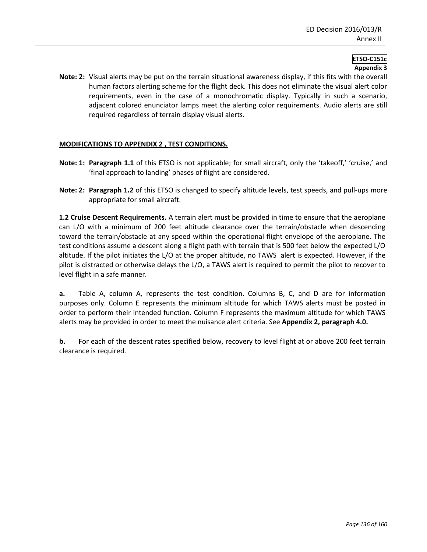**Note: 2:** Visual alerts may be put on the terrain situational awareness display, if this fits with the overall human factors alerting scheme for the flight deck. This does not eliminate the visual alert color requirements, even in the case of a monochromatic display. Typically in such a scenario, adjacent colored enunciator lamps meet the alerting color requirements. Audio alerts are still required regardless of terrain display visual alerts.

# **MODIFICATIONS TO APPENDIX 2 , TEST CONDITIONS.**

- **Note: 1: Paragraph 1.1** of this ETSO is not applicable; for small aircraft, only the 'takeoff,' 'cruise,' and 'final approach to landing' phases of flight are considered.
- **Note: 2: Paragraph 1.2** of this ETSO is changed to specify altitude levels, test speeds, and pull-ups more appropriate for small aircraft.

**1.2 Cruise Descent Requirements.** A terrain alert must be provided in time to ensure that the aeroplane can L/O with a minimum of 200 feet altitude clearance over the terrain/obstacle when descending toward the terrain/obstacle at any speed within the operational flight envelope of the aeroplane. The test conditions assume a descent along a flight path with terrain that is 500 feet below the expected L/O altitude. If the pilot initiates the L/O at the proper altitude, no TAWS alert is expected. However, if the pilot is distracted or otherwise delays the L/O, a TAWS alert is required to permit the pilot to recover to level flight in a safe manner.

**a.** Table A, column A, represents the test condition. Columns B, C, and D are for information purposes only. Column E represents the minimum altitude for which TAWS alerts must be posted in order to perform their intended function. Column F represents the maximum altitude for which TAWS alerts may be provided in order to meet the nuisance alert criteria. See **Appendix 2, paragraph 4.0.**

**b.** For each of the descent rates specified below, recovery to level flight at or above 200 feet terrain clearance is required.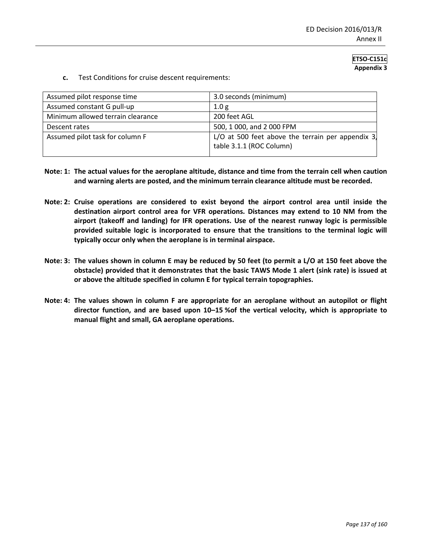**c.** Test Conditions for cruise descent requirements:

| Assumed pilot response time       | 3.0 seconds (minimum)                                                          |
|-----------------------------------|--------------------------------------------------------------------------------|
| Assumed constant G pull-up        | 1.0 <sub>g</sub>                                                               |
| Minimum allowed terrain clearance | 200 feet AGL                                                                   |
| Descent rates                     | 500, 1 000, and 2 000 FPM                                                      |
| Assumed pilot task for column F   | L/O at 500 feet above the terrain per appendix $3$<br>table 3.1.1 (ROC Column) |

- **Note: 1: The actual values for the aeroplane altitude, distance and time from the terrain cell when caution and warning alerts are posted, and the minimum terrain clearance altitude must be recorded.**
- **Note: 2: Cruise operations are considered to exist beyond the airport control area until inside the destination airport control area for VFR operations. Distances may extend to 10 NM from the airport (takeoff and landing) for IFR operations. Use of the nearest runway logic is permissible provided suitable logic is incorporated to ensure that the transitions to the terminal logic will typically occur only when the aeroplane is in terminal airspace.**
- **Note: 3: The values shown in column E may be reduced by 50 feet (to permit a L/O at 150 feet above the obstacle) provided that it demonstrates that the basic TAWS Mode 1 alert (sink rate) is issued at or above the altitude specified in column E for typical terrain topographies.**
- **Note: 4: The values shown in column F are appropriate for an aeroplane without an autopilot or flight director function, and are based upon 10–15 %of the vertical velocity, which is appropriate to manual flight and small, GA aeroplane operations.**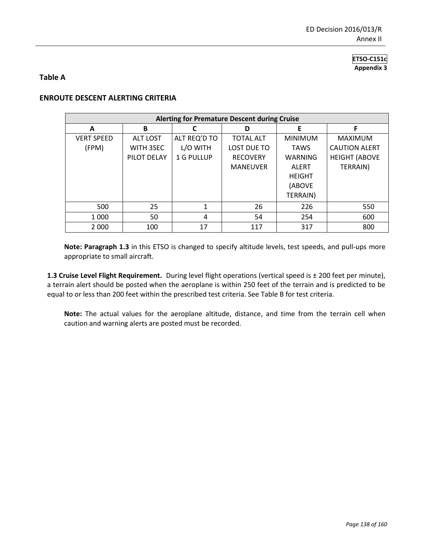**Table A**

# **ENROUTE DESCENT ALERTING CRITERIA**

| <b>Alerting for Premature Descent during Cruise</b> |                 |              |                    |                |                      |
|-----------------------------------------------------|-----------------|--------------|--------------------|----------------|----------------------|
| A                                                   | B               |              | D                  | E              |                      |
| <b>VERT SPEED</b>                                   | <b>ALT LOST</b> | ALT REQ'D TO | <b>TOTAL ALT</b>   | <b>MINIMUM</b> | <b>MAXIMUM</b>       |
| (FPM)                                               | WITH 3SEC       | L/O WITH     | <b>LOST DUE TO</b> | <b>TAWS</b>    | <b>CAUTION ALERT</b> |
|                                                     | PILOT DELAY     | 1 G PULLUP   | <b>RECOVERY</b>    | WARNING        | <b>HEIGHT (ABOVE</b> |
|                                                     |                 |              | <b>MANEUVER</b>    | <b>ALERT</b>   | TERRAIN)             |
|                                                     |                 |              |                    | <b>HEIGHT</b>  |                      |
|                                                     |                 |              |                    | (ABOVE         |                      |
|                                                     |                 |              |                    | TERRAIN)       |                      |
| 500                                                 | 25              | 1            | 26                 | 226            | 550                  |
| 1 0 0 0                                             | 50              | 4            | 54                 | 254            | 600                  |
| 2 0 0 0                                             | 100             | 17           | 117                | 317            | 800                  |

**Note: Paragraph 1.3** in this ETSO is changed to specify altitude levels, test speeds, and pull-ups more appropriate to small aircraft.

**1.3 Cruise Level Flight Requirement.** During level flight operations (vertical speed is ± 200 feet per minute), a terrain alert should be posted when the aeroplane is within 250 feet of the terrain and is predicted to be equal to or less than 200 feet within the prescribed test criteria. See Table B for test criteria.

**Note:** The actual values for the aeroplane altitude, distance, and time from the terrain cell when caution and warning alerts are posted must be recorded.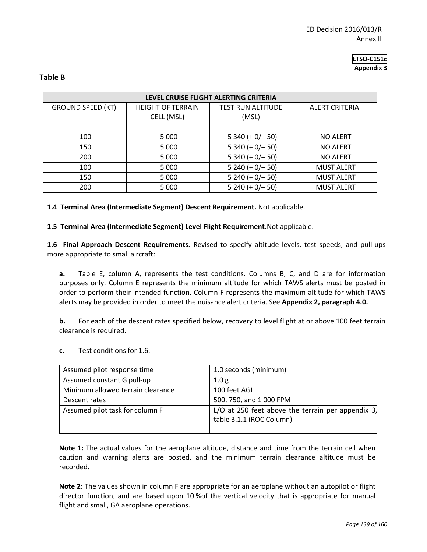# **Table B**

| LEVEL CRUISE FLIGHT ALERTING CRITERIA |                          |                          |                       |  |
|---------------------------------------|--------------------------|--------------------------|-----------------------|--|
| <b>GROUND SPEED (KT)</b>              | <b>HEIGHT OF TERRAIN</b> | <b>TEST RUN ALTITUDE</b> | <b>ALERT CRITERIA</b> |  |
|                                       | CELL (MSL)               | (MSL)                    |                       |  |
|                                       |                          |                          |                       |  |
| 100                                   | 5 0 0 0                  | $5340 (+ 0/- 50)$        | <b>NO ALERT</b>       |  |
| 150                                   | 5 0 0 0                  | $5340 (+ 0/- 50)$        | <b>NO ALERT</b>       |  |
| 200                                   | 5 0 0 0                  | $5340 (+ 0/- 50)$        | <b>NO ALERT</b>       |  |
| 100                                   | 5 0 0 0                  | $5240 (+ 0/- 50)$        | <b>MUST ALERT</b>     |  |
| 150                                   | 5 0 0 0                  | $5240 (+ 0/- 50)$        | <b>MUST ALERT</b>     |  |
| 200                                   | 5 0 0 0                  | $5240 (+ 0/- 50)$        | <b>MUST ALERT</b>     |  |

**1.4 Terminal Area (Intermediate Segment) Descent Requirement.** Not applicable.

**1.5 Terminal Area (Intermediate Segment) Level Flight Requirement.**Not applicable.

**1.6 Final Approach Descent Requirements.** Revised to specify altitude levels, test speeds, and pull-ups more appropriate to small aircraft:

**a.** Table E, column A, represents the test conditions. Columns B, C, and D are for information purposes only. Column E represents the minimum altitude for which TAWS alerts must be posted in order to perform their intended function. Column F represents the maximum altitude for which TAWS alerts may be provided in order to meet the nuisance alert criteria. See **Appendix 2, paragraph 4.0.**

**b.** For each of the descent rates specified below, recovery to level flight at or above 100 feet terrain clearance is required.

**c.** Test conditions for 1.6:

| Assumed pilot response time       | 1.0 seconds (minimum)                                                          |
|-----------------------------------|--------------------------------------------------------------------------------|
| Assumed constant G pull-up        | 1.0 <sub>g</sub>                                                               |
| Minimum allowed terrain clearance | 100 feet AGL                                                                   |
| Descent rates                     | 500, 750, and 1 000 FPM                                                        |
| Assumed pilot task for column F   | L/O at 250 feet above the terrain per appendix $3$<br>table 3.1.1 (ROC Column) |

**Note 1:** The actual values for the aeroplane altitude, distance and time from the terrain cell when caution and warning alerts are posted, and the minimum terrain clearance altitude must be recorded.

**Note 2:** The values shown in column F are appropriate for an aeroplane without an autopilot or flight director function, and are based upon 10 %of the vertical velocity that is appropriate for manual flight and small, GA aeroplane operations.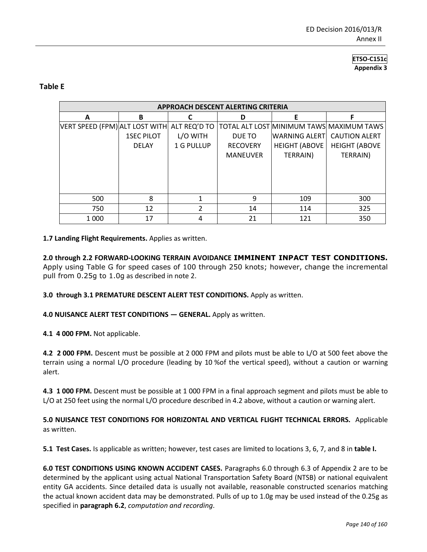# **Table E**

| APPROACH DESCENT ALERTING CRITERIA          |                   |            |                 |                      |                                          |
|---------------------------------------------|-------------------|------------|-----------------|----------------------|------------------------------------------|
| A                                           | В                 |            | D               | F                    |                                          |
| VERT SPEED (FPM) ALT LOST WITH ALT REQ'D TO |                   |            |                 |                      | TOTAL ALT LOST MINIMUM TAWS MAXIMUM TAWS |
|                                             | <b>1SEC PILOT</b> | L/O WITH   | DUE TO          | <b>WARNING ALERT</b> | <b>CAUTION ALERT</b>                     |
|                                             | <b>DELAY</b>      | 1 G PULLUP | <b>RECOVERY</b> | <b>HEIGHT (ABOVE</b> | <b>HEIGHT (ABOVE</b>                     |
|                                             |                   |            | <b>MANEUVER</b> | TERRAIN)             | TERRAIN)                                 |
|                                             |                   |            |                 |                      |                                          |
|                                             |                   |            |                 |                      |                                          |
|                                             |                   |            |                 |                      |                                          |
|                                             |                   |            |                 |                      |                                          |
| 500                                         | 8                 | 1          | 9               | 109                  | 300                                      |
| 750                                         | 12                | 2          | 14              | 114                  | 325                                      |
| 1 0 0 0                                     | 17                | 4          | 21              | 121                  | 350                                      |

# **1.7 Landing Flight Requirements.** Applies as written.

**2.0 through 2.2 FORWARD-LOOKING TERRAIN AVOIDANCE IMMINENT INPACT TEST CONDITIONS.**  Apply using Table G for speed cases of 100 through 250 knots; however, change the incremental pull from 0.25g to 1.0g as described in note 2.

**3.0 through 3.1 PREMATURE DESCENT ALERT TEST CONDITIONS.** Apply as written.

**4.0 NUISANCE ALERT TEST CONDITIONS — GENERAL.** Apply as written.

**4.1 4 000 FPM.** Not applicable.

**4.2 2 000 FPM.** Descent must be possible at 2 000 FPM and pilots must be able to L/O at 500 feet above the terrain using a normal L/O procedure (leading by 10 %of the vertical speed), without a caution or warning alert.

**4.3 1 000 FPM.** Descent must be possible at 1 000 FPM in a final approach segment and pilots must be able to L/O at 250 feet using the normal L/O procedure described in 4.2 above, without a caution or warning alert.

**5.0 NUISANCE TEST CONDITIONS FOR HORIZONTAL AND VERTICAL FLIGHT TECHNICAL ERRORS.** Applicable as written.

**5.1 Test Cases.** Is applicable as written; however, test cases are limited to locations 3, 6, 7, and 8 in **table I.**

**6.0 TEST CONDITIONS USING KNOWN ACCIDENT CASES.** Paragraphs 6.0 through 6.3 of Appendix 2 are to be determined by the applicant using actual National Transportation Safety Board (NTSB) or national equivalent entity GA accidents. Since detailed data is usually not available, reasonable constructed scenarios matching the actual known accident data may be demonstrated. Pulls of up to 1.0g may be used instead of the 0.25g as specified in **paragraph 6.2**, *computation and recording*.